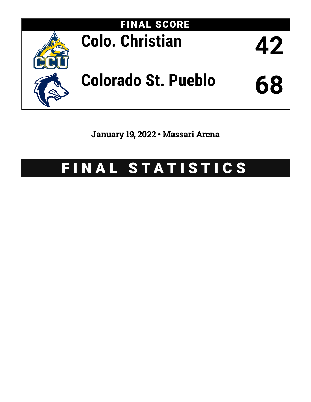

January 19, 2022 • Massari Arena

# FINAL STATISTICS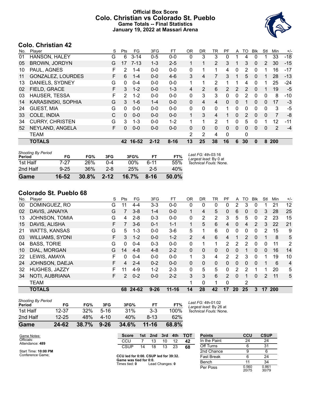### **Official Box Score Colo. Christian vs Colorado St. Pueblo Game Totals -- Final Statistics January 19, 2022 at Massari Arena**



# **Colo. Christian 42**

| No. | Plaver                 | S  | <b>Pts</b>    | FG       | 3FG      | FT       | 0R           | <b>DR</b> | TR             | РF            | A              | TO            | <b>B</b> lk | Stl            | Min            | $+/-$ |
|-----|------------------------|----|---------------|----------|----------|----------|--------------|-----------|----------------|---------------|----------------|---------------|-------------|----------------|----------------|-------|
| 01  | HANSON, HALEY          | G  | 6             | $3 - 14$ | $0 - 5$  | $0 - 0$  | 0            | 3         | 3              | 0             |                | 4             | 0           |                | 33             | $-18$ |
| 05  | <b>BROWN, JORDYN</b>   | G  | 17            | $7 - 13$ | $1 - 3$  | $2 - 5$  |              | 1         | $\overline{2}$ | 3             |                | 3             | $\Omega$    | $\overline{2}$ | 30             | $-15$ |
| 10  | PAUL, AGNES            | F  | 2             | $1 - 4$  | $0 - 0$  | $0 - 0$  | 0            | 1         | 1              | 4             | 0              | 2             | $\Omega$    | 1              | 16             | -17   |
| 11  | GONZALEZ, LOURDES      | F  | 6             | $1 - 4$  | $0 - 0$  | $4-6$    | 3            | 4         | 7              | 3             |                | 5             | $\Omega$    | 1              | 28             | $-13$ |
| 13  | DANIELS, SYDNEY        | G  | 0             | $0 - 4$  | $0 - 0$  | $0-0$    | 1            | 1         | $\overline{2}$ |               |                | 4             | 0           | 1              | 25             | -24   |
| 02  | FIELD, GRACE           | F  | 3             | $1 - 2$  | $0 - 0$  | $1 - 3$  | 4            | 2         | 6              | $\mathcal{P}$ | $\overline{2}$ | 2             | $\Omega$    | 1              | 19             | $-5$  |
| 03  | HAUSER, TESSA          | F  | $\mathcal{P}$ | $1 - 2$  | $0 - 0$  | $0-0$    | 0            | 3         | 3              | $\Omega$      | 0              | 2             | $\Omega$    | 0              | 8              | -10   |
| 14  | KARASINSKI, SOPHIA     | G  | 3             | $1 - 6$  | $1 - 4$  | $0 - 0$  | 0            | 4         | 4              | $\Omega$      | 0              |               | $\Omega$    | 0              | 17             | $-3$  |
| 24  | <b>GUEST, MIA</b>      | G  | 0             | $0 - 0$  | $0 - 0$  | $0 - 0$  | 0            | $\Omega$  | $\Omega$       | 1.            | 0              | $\Omega$      | $\Omega$    | $\Omega$       | 3              | $-5$  |
| 33  | COLE, INDIA            | С  | $\Omega$      | $0 - 0$  | $0 - 0$  | $0 - 0$  | $\mathbf{1}$ | 3         | 4              |               | 0              | $\mathcal{P}$ | $\Omega$    | 0              | $\overline{7}$ | -8    |
| 34  | <b>CURRY, CHRISTEN</b> | G  | 3             | $1 - 3$  | $0 - 0$  | $1 - 2$  | 1            | 1         | 2              | 1             | 0              | 5             | 0           | 1              | 12             | -11   |
| 52  | NEYLAND, ANGELA        | F. | $\Omega$      | $0 - 0$  | $0 - 0$  | $0 - 0$  | 0            | $\Omega$  | $\Omega$       | $\Omega$      | 0              | $\Omega$      | 0           | 0              | 2              | $-4$  |
|     | <b>TEAM</b>            |    |               |          |          |          | 2            | 2         | 4              | $\Omega$      |                | 0             |             |                |                |       |
|     | <b>TOTALS</b>          |    | 42            | 16-52    | $2 - 12$ | $8 - 16$ | 13           | 25        | 38             | 16            | 6              | 30            | 0           | 8              | 200            |       |

| <b>Shooting By Period</b><br>Period | FG       | FG%        | 3FG      | 3FG%  | FТ       | FT%   | Last FG: 4th-03:16<br>Largest lead: By 0 at |
|-------------------------------------|----------|------------|----------|-------|----------|-------|---------------------------------------------|
| 1st Half                            | 7-27     | <b>26%</b> | በ-4      | 00%   | 6-11     | 55%   | Technical Fouls: None.                      |
| 2nd Half                            | $9 - 25$ | 36%        | $2 - 8$  | 25%   | $2 - 5$  | 40%   |                                             |
| Game                                | 16-52    | 30.8%      | $2 - 12$ | 16.7% | $8 - 16$ | 50.0% |                                             |

# **Colorado St. Pueblo 68**

| No. | Plaver                 | S | <b>Pts</b>     | FG      | 3FG      | FT        | 0R             | DR       | TR           | PF             | A        | TO | Blk           | Stl | Min        | $+/-$ |
|-----|------------------------|---|----------------|---------|----------|-----------|----------------|----------|--------------|----------------|----------|----|---------------|-----|------------|-------|
| 00  | DOMINGUEZ, RO          | G | 11             | $4 - 4$ | $3 - 3$  | $0-0$     | 0              | 0        | 0            | 0              | 2        | 3  | 0             |     | 21         | 12    |
| 02  | DAVIS, JANAIYA         | G | 7              | $3 - 8$ | 1-4      | $0 - 0$   |                | 4        | 5            | 0              | 6        | 0  | $\mathbf{0}$  | 3   | 28         | 25    |
| 13  | <b>JOHNSON, TOMIA</b>  | G | 4              | $2 - 8$ | $0 - 3$  | $0 - 0$   | 0              | 2        | 2            | 3              | 5        | 5  | 0             | 2   | 23         | 15    |
| 15  | DAVIS, ALISHA          | F | $\overline{7}$ | $3-6$   | $0 - 1$  | $1 - 1$   | $\mathbf 1$    | 5        | 6            | 4              | $\Omega$ | 4  | $\mathcal{P}$ | 3   | 22         | 21    |
| 21  | <b>WATTS, KANSAS</b>   | G | 5.             | 1-3     | $0 - 0$  | $3-6$     | 5              |          | 6            | 0              | 0        | 0  | 0             | 2   | 15         | 9     |
| 03  | <b>WILLIAMS, SYDNI</b> | F | 3              | $1 - 2$ | $0 - 0$  | $1 - 2$   | $\overline{2}$ | 4        | 6            | 4              |          | 2  | 0             |     | 8          | 5     |
| 04  | <b>BASS, TORIE</b>     | G | 0              | $0 - 4$ | $0 - 3$  | $0 - 0$   | 0              |          | 1            | 2              | 2        | 2  | 0             | 0   | 11         | 2     |
| 10  | DIAL, MORGAN           | G | 14             | $4 - 8$ | $4 - 8$  | $2 - 2$   | $\Omega$       | 0        | $\mathbf{0}$ | 0              | 0        |    | $\mathbf{0}$  | 0   | 16         | 14    |
| 22  | LEWIS, AMAYA           | F | 0              | $0 - 4$ | $0 - 0$  | $0 - 0$   | 1              | 3        | 4            | 2              | 2        | 3  | 0             |     | 19         | 10    |
| 24  | JOHNSON, DAEJA         | F | 4              | $2 - 4$ | $0 - 2$  | $0 - 0$   | $\Omega$       | $\Omega$ | $\mathbf{0}$ | 0              | 0        | 0  | $\Omega$      |     | 6          | 4     |
| 32  | HUGHES, JAZZY          | F | 11             | $4 - 9$ | $1 - 2$  | $2 - 3$   | 0              | 5        | 5            | 0              | 2        | 2  |               |     | 20         | 5     |
| 34  | NOTI, AUBRIANA         | F | 2              | $0 - 2$ | $0 - 0$  | $2 - 2$   | 3              | 3        | 6            | $\overline{2}$ | $\Omega$ |    | $\Omega$      | 2   | 11         | 5     |
|     | <b>TEAM</b>            |   |                |         |          |           | 1              | 0        | 1            | $\Omega$       |          | 2  |               |     |            |       |
|     | <b>TOTALS</b>          |   | 68             | 24-62   | $9 - 26$ | $11 - 16$ | 14             | 28       | 42           | 17             | 20       | 25 | 3             | 17  | <b>200</b> |       |

| Game                                | 24-62     | 38.7% | $9 - 26$ | 34.6% | $11 - 16$ | 68.8% |
|-------------------------------------|-----------|-------|----------|-------|-----------|-------|
| 2nd Half                            | $12 - 25$ | 48%   | 4-10     | 40%   | $8-13$    | 62%   |
| 1st Half                            | 12-37     | 32%   | $5-16$   | 31%   | $3-3$     | 100%  |
| <b>Shooting By Period</b><br>Period | FG        | FG%   | 3FG      | 3FG%  | FТ        | FT%   |

*Last FG:* 4th-01:02 *Largest lead:* By 26 at *Technical Fouls:* None.

| Game Notes:                   | <b>Score</b>                            |    |                 |    |    | 1st 2nd 3rd 4th TOT | <b>Points</b>     |
|-------------------------------|-----------------------------------------|----|-----------------|----|----|---------------------|-------------------|
| Officials:<br>Attendance: 489 | CCU                                     |    | 13              | 10 | 12 | 42                  | In the Paint      |
|                               | CSUP                                    | 14 | 18              | 13 | 23 | 68                  | Off Turns         |
| Start Time: 10:00 PM          |                                         |    |                 |    |    |                     | 2nd Chance        |
| Conference Game;              | CCU led for 0:00. CSUP led for 39:32.   |    |                 |    |    |                     | <b>Fast Break</b> |
|                               | Game was tied for 0:0.<br>Times tied: 0 |    | Lead Changes: 0 |    |    |                     | Bench             |
|                               |                                         |    |                 |    |    |                     | - -               |

| <b>Points</b>     | CCU            | <b>CSUP</b>    |
|-------------------|----------------|----------------|
| In the Paint      | 24             | 24             |
| Off Turns         | 6              | 31             |
| 2nd Chance        | 9              | 6              |
| <b>Fast Break</b> | 6              | 24             |
| Bench             | 11             | 34             |
| Per Poss          | 0.560<br>20/75 | 0.861<br>30/79 |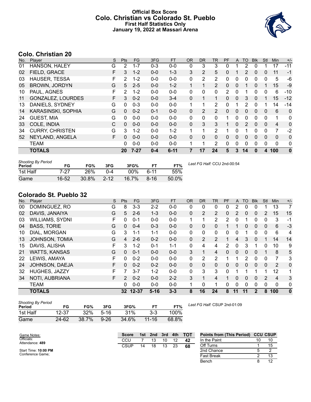### **Official Box Score Colo. Christian vs Colorado St. Pueblo First Half Statistics Only January 19, 2022 at Massari Arena**



# **Colo. Christian 20**

| No. | Plaver                 | S  | <b>Pts</b> | <b>FG</b> | 3FG     | <b>FT</b> | <b>OR</b> | <b>DR</b>    | TR             | PF           | A | <b>TO</b>    | <b>Blk</b>   | Stl         | <b>Min</b>   | $+/-$        |
|-----|------------------------|----|------------|-----------|---------|-----------|-----------|--------------|----------------|--------------|---|--------------|--------------|-------------|--------------|--------------|
| 01  | HANSON, HALEY          | G  | 2          | $1 - 7$   | $0 - 3$ | $0 - 0$   | 0         | 3            | 3              | 0            |   | 2            | $\Omega$     |             | 17           | $-11$        |
| 02  | FIELD, GRACE           | F. | 3          | $1 - 2$   | $0 - 0$ | $1 - 3$   | 3         | 2            | 5              | 0            |   | 2            | $\mathbf{0}$ | 0           | 11           | $-1$         |
| 03  | <b>HAUSER, TESSA</b>   | F  | 2          | $1 - 2$   | $0 - 0$ | $0-0$     | 0         | 2            | 2              | 0            | 0 | 0            | $\Omega$     | 0           | 5            | -6           |
| 05  | <b>BROWN, JORDYN</b>   | G  | 5          | $2 - 5$   | $0 - 0$ | $1 - 2$   |           | 1            | $\overline{2}$ | $\mathbf{0}$ | 0 |              | $\Omega$     | 1           | 15           | $-9$         |
| 10  | PAUL, AGNES            | F  | 2          | $1 - 2$   | $0 - 0$ | $0-0$     | 0         | 0            | 0              | 2            | 0 |              | 0            | 0           | 6            | -10          |
| 11  | GONZALEZ, LOURDES      | F. | 3          | $0 - 2$   | $0 - 0$ | $3 - 4$   | 0         | 1            | 1              | 0            | 0 | 3            | $\Omega$     | 1           | 15           | $-12$        |
| 13  | DANIELS, SYDNEY        | G  | 0          | $0 - 3$   | $0 - 0$ | $0 - 0$   | 1         | 1            | $\overline{2}$ | 0            |   | 2            | $\Omega$     | 1           | 14           | $-14$        |
| 14  | KARASINSKI, SOPHIA     | G  | $\Omega$   | $0 - 2$   | $0 - 1$ | $0 - 0$   | 0         | 2            | 2              | $\Omega$     | 0 | $\mathbf{0}$ | $\Omega$     | 0           | 6            | $\Omega$     |
| 24  | <b>GUEST, MIA</b>      | G  | 0          | $0 - 0$   | $0 - 0$ | $0 - 0$   | 0         | 0            | 0              | 1            | 0 | 0            | $\Omega$     | $\mathbf 0$ | 1            | 0            |
| 33  | COLE, INDIA            | С  | $\Omega$   | $0 - 0$   | $0 - 0$ | $0 - 0$   | 0         | 3            | 3              |              | 0 | 2            | $\Omega$     | 0           | 4            | 0            |
| 34  | <b>CURRY, CHRISTEN</b> | G  | 3          | $1 - 2$   | $0 - 0$ | $1 - 2$   |           | 1            | $\overline{2}$ |              | 0 |              | 0            | 0           | 7            | $-2$         |
| 52  | NEYLAND, ANGELA        | F. | 0          | $0 - 0$   | $0 - 0$ | $0 - 0$   | 0         | $\mathbf{0}$ | 0              | 0            | 0 | 0            | $\Omega$     | 0           | 0            | 0            |
|     | <b>TEAM</b>            |    | 0          | $0 - 0$   | $0 - 0$ | $0 - 0$   | 1         | 1            | $\overline{2}$ | 0            | 0 | 0            | $\Omega$     | 0           | $\mathbf{0}$ | $\mathbf{0}$ |
|     | <b>TOTALS</b>          |    | 20         | $7 - 27$  | $0 - 4$ | $6 - 11$  | 7         | 17           | 24             | 5            | 3 | 14           | $\bf{0}$     | 4           | 100          | $\bf{0}$     |

| <b>Shooting By Period</b><br>Period | FG    | FG%   | 3FG      | 3FG%  |        | FT%   |
|-------------------------------------|-------|-------|----------|-------|--------|-------|
| 1st Half                            | 7-27  | 26%   | በ-4      | 00%   | $6-11$ | 55%   |
| Game                                | 16-52 | 30.8% | $2 - 12$ | 16.7% | 8-16   | 50.0% |

*Last FG Half:* CCU 2nd-00:54

### **Colorado St. Pueblo 32**

| No. | Player                 | S | <b>Pts</b>    | <b>FG</b> | 3FG      | <b>FT</b> | <b>OR</b>    | D <sub>R</sub> | TR             | PF             | A  | TO | <b>BIK</b>   | Stl          | Min            | $+/-$        |
|-----|------------------------|---|---------------|-----------|----------|-----------|--------------|----------------|----------------|----------------|----|----|--------------|--------------|----------------|--------------|
| 00  | DOMINGUEZ, RO          | G | 8             | $3 - 3$   | $2 - 2$  | $0-0$     | 0            | 0              | 0              | 0              | 2  | 0  | 0            |              | 13             | 7            |
| 02  | DAVIS, JANAIYA         | G | 5             | $2 - 6$   | $1 - 3$  | $0 - 0$   | 0            | 2              | 2              | 0              | 2  | 0  | 0            | 2            | 15             | 15           |
| 03  | <b>WILLIAMS, SYDNI</b> | F | 0             | $0 - 1$   | $0 - 0$  | $0 - 0$   | 1            |                | 2              | 2              | 0  |    | 0            | 0            | 3              | $-1$         |
| 04  | <b>BASS, TORIE</b>     | G | 0             | $0 - 4$   | $0 - 3$  | $0 - 0$   | 0            | 0              | 0              |                |    | 0  | $\mathbf{0}$ | 0            | 6              | $-3$         |
| 10  | DIAL, MORGAN           | G | 3             | $1 - 1$   | $1 - 1$  | $0 - 0$   | 0            | 0              | 0              | 0              | 0  |    | 0            | 0            | 6              | 4            |
| 13  | JOHNSON, TOMIA         | G | 4             | $2 - 6$   | $0 - 2$  | $0 - 0$   | $\Omega$     | 2              | 2              |                | 4  | 3  | $\mathbf{0}$ |              | 14             | 14           |
| 15  | DAVIS, ALISHA          | F | 3             | $1 - 2$   | $0 - 1$  | $1 - 1$   | 0            | 4              | 4              | $\overline{2}$ | 0  | 3  |              | 0            | 10             | 9            |
| 21  | <b>WATTS, KANSAS</b>   | G | 0             | $0 - 1$   | $0 - 0$  | $0 - 0$   | 3            | 1              | $\overline{4}$ | 0              | 0  | 0  | $\Omega$     |              | 8              | 5            |
| 22  | LEWIS, AMAYA           | F | 0             | $0 - 2$   | $0 - 0$  | $0 - 0$   | 0            | 2              | 2              |                | 1  | 2  | $\Omega$     | $\Omega$     | 7              | 3            |
| 24  | JOHNSON, DAEJA         | F | 0             | $0 - 2$   | $0 - 2$  | $0 - 0$   | $\mathbf{0}$ | 0              | $\mathbf{0}$   | 0              | 0  | 0  | $\mathbf{0}$ | $\mathbf{0}$ | 2              | $\mathbf 0$  |
| 32  | HUGHES, JAZZY          | F | 7             | $3 - 7$   | $1 - 2$  | $0 - 0$   | 0            | 3              | 3              | 0              | 1  |    |              | 1            | 12             | 1            |
| 34  | NOTI, AUBRIANA         | F | $\mathcal{P}$ | $0 - 2$   | $0 - 0$  | $2 - 2$   | 3            | 1              | 4              |                | 0  | 0  | $\mathbf{0}$ | 2            | $\overline{4}$ | 3            |
|     | <b>TEAM</b>            |   | 0             | $0 - 0$   | $0 - 0$  | $0 - 0$   | 1            | $\Omega$       | 1              | 0              | 0  | 0  | $\mathbf{0}$ | $\Omega$     | $\mathbf{0}$   | 0            |
|     | <b>TOTALS</b>          |   |               | 32 12-37  | $5 - 16$ | $3 - 3$   | 8            | 16             | 24             | 8              | 11 | 11 | 2            | 8            | 100            | $\mathbf{0}$ |

| <b>Shooting By Period</b><br>Period | FG        | FG%   | 3FG    | 3FG%  | FТ        | FT%   |
|-------------------------------------|-----------|-------|--------|-------|-----------|-------|
| 1st Half                            | 12-37     | 32%   | $5-16$ | 31%   | $3-3$     | 100%  |
| Game                                | $24 - 62$ | 38.7% | $9-26$ | 34.6% | $11 - 16$ | 68.8% |

*Last FG Half:* CSUP 2nd-01:09

| Game Notes:                   | <b>Score</b> | 1st | 2nd | 3rd | 4th | <b>TOT</b> | <b>Points from (This Period) CCU CSUP</b> |                |
|-------------------------------|--------------|-----|-----|-----|-----|------------|-------------------------------------------|----------------|
| Officials:<br>Attendance: 489 | CCU          |     |     | 10  |     | 42         | In the Paint                              | 10             |
|                               | CSUP         | 14  | 18  | 13  | 23  | 68         | Off Turns                                 |                |
| Start Time: 10:00 PM          |              |     |     |     |     |            | 2nd Chance                                |                |
| Conference Game;              |              |     |     |     |     |            | <b>Fast Break</b>                         | 13             |
|                               |              |     |     |     |     |            | Bench                                     | $\overline{A}$ |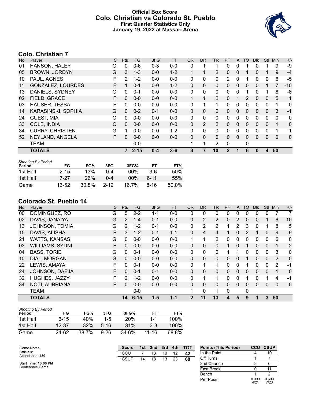### **Official Box Score Colo. Christian vs Colorado St. Pueblo First Quarter Statistics Only January 19, 2022 at Massari Arena**



# **Colo. Christian 7**

| No. | Player                   | S | <b>Pts</b>   | <b>FG</b> | 3FG     | <b>FT</b> | 0R           | <b>DR</b>    | TR             | PF           | A            | TO | <b>BIK</b> | <b>Stl</b>   | Min | $+/-$ |
|-----|--------------------------|---|--------------|-----------|---------|-----------|--------------|--------------|----------------|--------------|--------------|----|------------|--------------|-----|-------|
| 01  | HANSON, HALEY            | G | 0            | $0 - 6$   | $0 - 3$ | $0-0$     | 0            |              |                | 0            | 0            |    | 0          |              | 9   | -9    |
| 05  | <b>BROWN, JORDYN</b>     | G | 3            | $1 - 3$   | $0 - 0$ | $1 - 2$   |              |              | 2              | 0            | $\mathbf{0}$ |    | 0          |              | 9   | $-4$  |
| 10  | PAUL, AGNES              | F | 2            | $1 - 2$   | $0 - 0$ | $0-0$     | 0            | 0            | 0              | 2            | 0            |    | 0          | 0            | 6   | $-5$  |
| 11  | <b>GONZALEZ, LOURDES</b> | F |              | $0 - 1$   | $0 - 0$ | $1 - 2$   | $\mathbf{0}$ | 0            | 0              | 0            | $\mathbf{0}$ | 0  | 0          |              |     | $-10$ |
| 13  | DANIELS, SYDNEY          | G | 0            | $0 - 1$   | $0 - 0$ | $0-0$     | $\Omega$     | 0            | 0              | 0            | 0            |    | 0          |              | 8   | -8    |
| 02  | FIELD, GRACE             | F | $\mathbf{0}$ | $0 - 0$   | $0 - 0$ | $0 - 0$   |              |              | 2              | 0            |              | 2  | 0          | $\mathbf{0}$ | 5   | 1     |
| 03  | <b>HAUSER, TESSA</b>     | F | 0            | $0 - 0$   | $0 - 0$ | $0-0$     | 0            |              | 1              | 0            | 0            | 0  | 0          | $\Omega$     | 1   | 0     |
| 14  | KARASINSKI, SOPHIA       | G | $\Omega$     | $0 - 2$   | $0 - 1$ | $0 - 0$   | $\mathbf{0}$ | $\mathbf{0}$ | 0              | 0            | $\mathbf{0}$ | 0  | 0          | $\mathbf{0}$ | 3   | -1    |
| 24  | <b>GUEST, MIA</b>        | G | 0            | $0 - 0$   | $0 - 0$ | $0-0$     | $\Omega$     | 0            | 0              | 0            | 0            | 0  | 0          | 0            | 0   | 0     |
| 33  | COLE, INDIA              | С | $\Omega$     | $0 - 0$   | $0 - 0$ | $0 - 0$   | $\mathbf{0}$ | 2            | $\overline{2}$ | 0            | $\mathbf{0}$ | 0  | 0          | $\mathbf{0}$ | 1   | 0     |
| 34  | <b>CURRY, CHRISTEN</b>   | G |              | $0 - 0$   | $0 - 0$ | $1 - 2$   | $\Omega$     | 0            | 0              | 0            | 0            | 0  | 0          | $\Omega$     | 1   | 1     |
| 52  | NEYLAND, ANGELA          | F | $\Omega$     | $0 - 0$   | $0 - 0$ | $0 - 0$   | $\mathbf{0}$ | $\mathbf{0}$ | 0              | 0            | $\Omega$     | 0  | 0          | $\mathbf{0}$ | 0   | 0     |
|     | <b>TEAM</b>              |   |              | $0 - 0$   |         |           | 1            | 1            | 2              | 0            |              | 0  |            |              |     |       |
|     | <b>TOTALS</b>            |   |              | $2 - 15$  | $0 - 4$ | $3 - 6$   | 3            | 7            | 10             | $\mathbf{2}$ |              | 6  | 0          | 4            | 50  |       |

| <b>Shooting By Period</b> |          |       |          |        |       |       |
|---------------------------|----------|-------|----------|--------|-------|-------|
| Period                    | FG       | FG%   | 3FG      | 3FG%   | FТ    | FT%   |
| 1st Half                  | $2 - 15$ | 13%   | በ-4      | $00\%$ | $3-6$ | 50%   |
| 1st Half                  | 7-27     | 26%   | በ-4      | $00\%$ | հ-11  | 55%   |
| Game                      | 16-52    | 30.8% | $2 - 12$ | 16.7%  | 8-16  | 50.0% |

# **Colorado St. Pueblo 14**

| No. | Player                 | S  | Pts      | <b>FG</b> | 3FG     | <b>FT</b> | <b>OR</b>   | DR.            | <b>TR</b>    | PF | A            | TO       | <b>B</b> lk | <b>Stl</b>   | Min      | $+/-$       |
|-----|------------------------|----|----------|-----------|---------|-----------|-------------|----------------|--------------|----|--------------|----------|-------------|--------------|----------|-------------|
| 00  | DOMINGUEZ, RO          | G  | 5        | $2 - 2$   | 1-1     | $0-0$     | 0           | 0              | 0            | 0  | 0            | 0        | 0           | 0            |          | 7           |
| 02  | DAVIS, JANAIYA         | G  | 2        | $1 - 4$   | $0 - 1$ | $0 - 0$   | 0           | $\overline{2}$ | $\mathbf{2}$ | 0  | 2            | 0        | 0           |              | 6        | 10          |
| 13  | JOHNSON, TOMIA         | G  | 2        | $1 - 2$   | $0 - 1$ | $0 - 0$   | 0           | 2              | 2            |    | 2            | 3        | 0           |              | 8        | 5           |
| 15  | DAVIS, ALISHA          | F  | 3        | $1 - 2$   | $0 - 1$ | $1 - 1$   | 0           | 4              | 4            |    | 0            | 2        |             | 0            | 9        | 9           |
| 21  | <b>WATTS, KANSAS</b>   | G  | $\Omega$ | $0 - 0$   | $0 - 0$ | $0 - 0$   | 1           | 1              | 2            | 0  | 0            | 0        | 0           | 0            | 6        | 8           |
| 03  | <b>WILLIAMS, SYDNI</b> | F  | 0        | $0 - 0$   | $0 - 0$ | $0 - 0$   | 0           | 0              | 0            |    | 0            |          | 0           | $\mathbf{0}$ |          | $-2$        |
| 04  | <b>BASS, TORIE</b>     | G  | $\Omega$ | $0 - 1$   | $0 - 0$ | $0 - 0$   | 0           | 0              | 0            |    |              | $\Omega$ | 0           | 0            | 3        | 0           |
| 10  | DIAL, MORGAN           | G  | $\Omega$ | $0 - 0$   | $0 - 0$ | $0 - 0$   | 0           | 0              | $\Omega$     | 0  | $\mathbf{0}$ |          | 0           | $\Omega$     | 2        | $\mathbf 0$ |
| 22  | LEWIS, AMAYA           | F. | $\Omega$ | $0 - 1$   | $0 - 0$ | $0 - 0$   | 0           | 1              | 1            | 0  | 0            |          | 0           | $\Omega$     | 2        | $-1$        |
| 24  | JOHNSON, DAEJA         | F  | $\Omega$ | $0 - 1$   | $0 - 1$ | $0 - 0$   | 0           | 0              | $\Omega$     | 0  | $\mathbf{0}$ | $\Omega$ | 0           | $\mathbf{0}$ |          | $\mathbf 0$ |
| 32  | HUGHES, JAZZY          | F  | 2        | $1 - 2$   | $0 - 0$ | $0-0$     | 0           | 1              | 1            | 0  | 0            | 1        | 0           |              | 4        | $-1$        |
| 34  | NOTI, AUBRIANA         | F. | $\Omega$ | $0 - 0$   | $0 - 0$ | $0 - 0$   | 0           | 0              | $\mathbf{0}$ | 0  | $\mathbf{0}$ | $\Omega$ | $\Omega$    | $\mathbf{0}$ | $\Omega$ | $\mathbf 0$ |
|     | <b>TEAM</b>            |    |          | $0 - 0$   |         |           | 1           | 0              | $\mathbf 1$  | 0  |              | 0        |             |              |          |             |
|     | <b>TOTALS</b>          |    | 14       | $6 - 15$  | $1 - 5$ | $1 - 1$   | $\mathbf 2$ | 11             | 13           | 4  | 5            | 9        | 1           | 3            | 50       |             |

| <b>Shooting By Period</b> |          |        |          |            |       |       |
|---------------------------|----------|--------|----------|------------|-------|-------|
| Period                    | FG       | FG%    | 3FG      | 3FG%       | FТ    | FT%   |
| 1st Half                  | $6 - 15$ | 40%    | $1-5$    | <b>20%</b> | 1.1   | 100%  |
| 1st Half                  | 12-37    | $32\%$ | $5 - 16$ | 31%        | $3-3$ | 100%  |
| Game                      | 24-62    | 38.7%  | $9 - 26$ | 34.6%      | 11-16 | 68.8% |

| Game Notes:                   | <b>Score</b> | 1st | 2nd | 3rd | 4th | тот | <b>Points (This Period)</b> | CCU           | <b>CSUP</b>   |
|-------------------------------|--------------|-----|-----|-----|-----|-----|-----------------------------|---------------|---------------|
| Officials:<br>Attendance: 489 | CCU          |     | 13  | 10  | 12  | 42  | In the Paint                |               | 10            |
|                               | <b>CSUP</b>  | 14  | 18  | 13  | 23  | 68  | Off Turns                   |               |               |
| Start Time: 10:00 PM          |              |     |     |     |     |     | 2nd Chance                  |               |               |
| Conference Game;              |              |     |     |     |     |     | <b>Fast Break</b>           |               | 11            |
|                               |              |     |     |     |     |     | Bench                       |               |               |
|                               |              |     |     |     |     |     | Per Poss                    | 0.333<br>4/21 | 0.609<br>7/23 |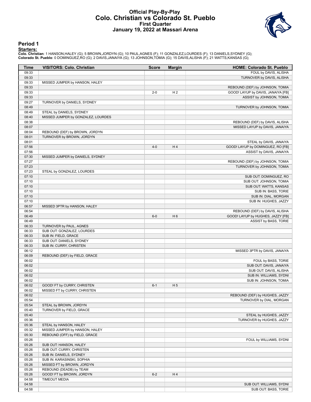#### **Official Play-By-Play Colo. Christian vs Colorado St. Pueblo First Quarter January 19, 2022 at Massari Arena**



#### **Period 1**

<mark>Starters:</mark><br>Colo. Christian: 1 HANSON,HALEY (G); 5 BROWN,JORDYN (G); 10 PAUL,AGNES (F); 11 GONZALEZ,LOURDES (F); 13 DANIELS,SYDNEY (G);<br>Colorado St. Pueblo: 0 DOMINGUEZ,RO (G); 2 DAVIS,JANAIYA (G); 13 JOHNSON,TOMIA (G); 15

| Time  | <b>VISITORS: Colo. Christian</b>   | <b>Score</b> | <b>Margin</b>  | <b>HOME: Colorado St. Pueblo</b>   |
|-------|------------------------------------|--------------|----------------|------------------------------------|
| 09:33 |                                    |              |                | FOUL by DAVIS, ALISHA              |
| 09:33 |                                    |              |                | TURNOVER by DAVIS, ALISHA          |
| 09:33 | MISSED JUMPER by HANSON, HALEY     |              |                |                                    |
| 09:33 |                                    |              |                | REBOUND (DEF) by JOHNSON, TOMIA    |
| 09:33 |                                    | $2 - 0$      | H <sub>2</sub> | GOOD! LAYUP by DAVIS, JANAIYA [FB] |
| 09:33 |                                    |              |                | ASSIST by JOHNSON, TOMIA           |
| 09:27 | TURNOVER by DANIELS, SYDNEY        |              |                |                                    |
| 08:49 |                                    |              |                | TURNOVER by JOHNSON, TOMIA         |
| 08:49 | STEAL by DANIELS, SYDNEY           |              |                |                                    |
| 08:40 | MISSED JUMPER by GONZALEZ, LOURDES |              |                |                                    |
| 08:38 |                                    |              |                | REBOUND (DEF) by DAVIS, ALISHA     |
| 08:07 |                                    |              |                | MISSED LAYUP by DAVIS, JANAIYA     |
| 08:04 | REBOUND (DEF) by BROWN, JORDYN     |              |                |                                    |
| 08:01 | TURNOVER by BROWN, JORDYN          |              |                |                                    |
| 08:01 |                                    |              |                | STEAL by DAVIS, JANAIYA            |
| 07:56 |                                    | $4 - 0$      | H4             | GOOD! LAYUP by DOMINGUEZ, RO [FB]  |
| 07:56 |                                    |              |                | ASSIST by DAVIS, JANAIYA           |
| 07:30 | MISSED JUMPER by DANIELS, SYDNEY   |              |                |                                    |
| 07:27 |                                    |              |                | REBOUND (DEF) by JOHNSON, TOMIA    |
| 07:23 |                                    |              |                | TURNOVER by JOHNSON, TOMIA         |
| 07:23 | STEAL by GONZALEZ, LOURDES         |              |                |                                    |
| 07:10 |                                    |              |                | SUB OUT: DOMINGUEZ, RO             |
| 07:10 |                                    |              |                | SUB OUT: JOHNSON, TOMIA            |
| 07:10 |                                    |              |                | SUB OUT: WATTS, KANSAS             |
| 07:10 |                                    |              |                | SUB IN: BASS, TORIE                |
| 07:10 |                                    |              |                | SUB IN: DIAL, MORGAN               |
| 07:10 |                                    |              |                | SUB IN: HUGHES, JAZZY              |
| 06:57 | MISSED 3PTR by HANSON, HALEY       |              |                |                                    |
| 06:54 |                                    |              |                | REBOUND (DEF) by DAVIS, ALISHA     |
| 06:49 |                                    | $6-0$        | H <sub>6</sub> | GOOD! LAYUP by HUGHES, JAZZY [FB]  |
| 06:49 |                                    |              |                | ASSIST by BASS, TORIE              |
| 06:33 | TURNOVER by PAUL, AGNES            |              |                |                                    |
| 06:33 | SUB OUT: GONZALEZ, LOURDES         |              |                |                                    |
| 06:33 | SUB IN: FIELD, GRACE               |              |                |                                    |
| 06:33 | SUB OUT: DANIELS, SYDNEY           |              |                |                                    |
| 06:33 | SUB IN: CURRY, CHRISTEN            |              |                |                                    |
| 06:12 |                                    |              |                | MISSED 3PTR by DAVIS, JANAIYA      |
| 06:09 | REBOUND (DEF) by FIELD, GRACE      |              |                |                                    |
| 06:02 |                                    |              |                | FOUL by BASS, TORIE                |
| 06:02 |                                    |              |                | SUB OUT: DAVIS, JANAIYA            |
| 06:02 |                                    |              |                | SUB OUT: DAVIS, ALISHA             |
| 06:02 |                                    |              |                | SUB IN: WILLIAMS, SYDNI            |
| 06:02 |                                    |              |                | SUB IN: JOHNSON, TOMIA             |
| 06:02 | GOOD! FT by CURRY, CHRISTEN        | $6 - 1$      | H <sub>5</sub> |                                    |
| 06:02 | MISSED FT by CURRY, CHRISTEN       |              |                |                                    |
| 06:02 |                                    |              |                | REBOUND (DEF) by HUGHES, JAZZY     |
| 05:54 |                                    |              |                | TURNOVER by DIAL, MORGAN           |
| 05:54 | STEAL by BROWN, JORDYN             |              |                |                                    |
| 05:40 | TURNOVER by FIELD, GRACE           |              |                |                                    |
| 05:40 |                                    |              |                | STEAL by HUGHES, JAZZY             |
| 05:36 |                                    |              |                | TURNOVER by HUGHES, JAZZY          |
| 05:36 | STEAL by HANSON, HALEY             |              |                |                                    |
| 05:32 | MISSED JUMPER by HANSON, HALEY     |              |                |                                    |
| 05:30 | REBOUND (OFF) by FIELD, GRACE      |              |                |                                    |
| 05:26 |                                    |              |                | FOUL by WILLIAMS, SYDNI            |
| 05:26 | SUB OUT: HANSON, HALEY             |              |                |                                    |
| 05:26 | SUB OUT: CURRY, CHRISTEN           |              |                |                                    |
| 05:26 | SUB IN: DANIELS, SYDNEY            |              |                |                                    |
| 05:26 | SUB IN: KARASINSKI, SOPHIA         |              |                |                                    |
| 05:26 | MISSED FT by BROWN, JORDYN         |              |                |                                    |
| 05:26 | REBOUND (DEADB) by TEAM            |              |                |                                    |
| 05:26 | GOOD! FT by BROWN, JORDYN          | $6 - 2$      | H 4            |                                    |
| 04:58 | <b>TIMEOUT MEDIA</b>               |              |                |                                    |
| 04:58 |                                    |              |                | SUB OUT: WILLIAMS, SYDNI           |
| 04:58 |                                    |              |                | SUB OUT: BASS, TORIE               |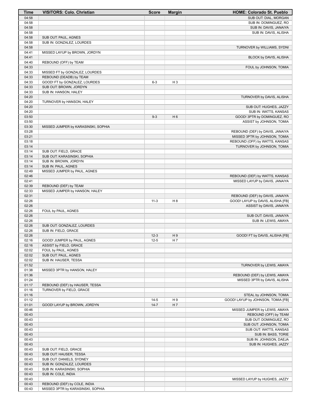| Time           | <b>VISITORS: Colo. Christian</b>    | <b>Score</b> | <b>Margin</b>  | <b>HOME: Colorado St. Pueblo</b>   |
|----------------|-------------------------------------|--------------|----------------|------------------------------------|
| 04:58          |                                     |              |                | SUB OUT: DIAL, MORGAN              |
| 04:58          |                                     |              |                | SUB IN: DOMINGUEZ, RO              |
| 04:58          |                                     |              |                | SUB IN: DAVIS, JANAIYA             |
| 04:58          |                                     |              |                | SUB IN: DAVIS, ALISHA              |
| 04:58          | SUB OUT: PAUL, AGNES                |              |                |                                    |
| 04:58          | SUB IN: GONZALEZ, LOURDES           |              |                |                                    |
| 04:58          |                                     |              |                | TURNOVER by WILLIAMS, SYDNI        |
| 04:41          | MISSED LAYUP by BROWN, JORDYN       |              |                |                                    |
| 04:41          |                                     |              |                | BLOCK by DAVIS, ALISHA             |
| 04:40          | REBOUND (OFF) by TEAM               |              |                |                                    |
| 04:33<br>04:33 | MISSED FT by GONZALEZ, LOURDES      |              |                | FOUL by JOHNSON, TOMIA             |
| 04:33          | REBOUND (DEADB) by TEAM             |              |                |                                    |
| 04:33          | GOOD! FT by GONZALEZ, LOURDES       | $6 - 3$      | H <sub>3</sub> |                                    |
| 04:33          | SUB OUT: BROWN, JORDYN              |              |                |                                    |
| 04:33          | SUB IN: HANSON, HALEY               |              |                |                                    |
| 04:20          |                                     |              |                | TURNOVER by DAVIS, ALISHA          |
| 04:20          | TURNOVER by HANSON, HALEY           |              |                |                                    |
| 04:20          |                                     |              |                | SUB OUT: HUGHES, JAZZY             |
| 04:20          |                                     |              |                | SUB IN: WATTS, KANSAS              |
| 03:50          |                                     | $9 - 3$      | H <sub>6</sub> | GOOD! 3PTR by DOMINGUEZ, RO        |
| 03:50          |                                     |              |                | ASSIST by JOHNSON, TOMIA           |
| 03:30          | MISSED JUMPER by KARASINSKI, SOPHIA |              |                |                                    |
| 03:28          |                                     |              |                | REBOUND (DEF) by DAVIS, JANAIYA    |
| 03:21          |                                     |              |                | MISSED 3PTR by JOHNSON, TOMIA      |
| 03:18          |                                     |              |                | REBOUND (OFF) by WATTS, KANSAS     |
| 03:14          |                                     |              |                | TURNOVER by JOHNSON, TOMIA         |
| 03:14          | SUB OUT: FIELD, GRACE               |              |                |                                    |
| 03:14          | SUB OUT: KARASINSKI, SOPHIA         |              |                |                                    |
| 03:14          | SUB IN: BROWN, JORDYN               |              |                |                                    |
| 03:14          | SUB IN: PAUL, AGNES                 |              |                |                                    |
| 02:49          | MISSED JUMPER by PAUL, AGNES        |              |                |                                    |
| 02:46          |                                     |              |                | REBOUND (DEF) by WATTS, KANSAS     |
| 02:41          |                                     |              |                | MISSED LAYUP by DAVIS, JANAIYA     |
| 02:39          | REBOUND (DEF) by TEAM               |              |                |                                    |
| 02:33          | MISSED JUMPER by HANSON, HALEY      |              |                |                                    |
| 02:31          |                                     |              |                | REBOUND (DEF) by DAVIS, JANAIYA    |
| 02:26          |                                     | $11 - 3$     | H 8            | GOOD! LAYUP by DAVIS, ALISHA [FB]  |
| 02:26          |                                     |              |                | ASSIST by DAVIS, JANAIYA           |
| 02:26          | FOUL by PAUL, AGNES                 |              |                |                                    |
| 02:26          |                                     |              |                | SUB OUT: DAVIS, JANAIYA            |
| 02:26          |                                     |              |                | SUB IN: LEWIS, AMAYA               |
| 02:26          | SUB OUT: GONZALEZ, LOURDES          |              |                |                                    |
| 02:26<br>02:26 | SUB IN: FIELD, GRACE                | $12 - 3$     | H9             | GOOD! FT by DAVIS, ALISHA [FB]     |
| 02:16          | GOOD! JUMPER by PAUL, AGNES         | $12 - 5$     | H 7            |                                    |
| 02:16          | ASSIST by FIELD, GRACE              |              |                |                                    |
| 02:02          | FOUL by PAUL, AGNES                 |              |                |                                    |
| 02:02          | SUB OUT: PAUL, AGNES                |              |                |                                    |
| 02:02          | SUB IN: HAUSER, TESSA               |              |                |                                    |
| 01:52          |                                     |              |                | TURNOVER by LEWIS, AMAYA           |
| 01:38          | MISSED 3PTR by HANSON, HALEY        |              |                |                                    |
| 01:36          |                                     |              |                | REBOUND (DEF) by LEWIS, AMAYA      |
| 01:24          |                                     |              |                | MISSED 3PTR by DAVIS, ALISHA       |
| 01:17          | REBOUND (DEF) by HAUSER, TESSA      |              |                |                                    |
| 01:16          | TURNOVER by FIELD, GRACE            |              |                |                                    |
| 01:16          |                                     |              |                | STEAL by JOHNSON, TOMIA            |
| 01:12          |                                     | $14-5$       | H 9            | GOOD! LAYUP by JOHNSON, TOMIA [FB] |
| 01:01          | GOOD! LAYUP by BROWN, JORDYN        | $14 - 7$     | H 7            |                                    |
| 00:46          |                                     |              |                | MISSED JUMPER by LEWIS, AMAYA      |
| 00:43          |                                     |              |                | REBOUND (OFF) by TEAM              |
| 00:43          |                                     |              |                | SUB OUT: DOMINGUEZ, RO             |
| 00:43          |                                     |              |                | SUB OUT: JOHNSON, TOMIA            |
| 00:43          |                                     |              |                | SUB OUT: WATTS, KANSAS             |
| 00:43          |                                     |              |                | SUB IN: BASS, TORIE                |
| 00:43          |                                     |              |                | SUB IN: JOHNSON, DAEJA             |
| 00:43          |                                     |              |                | SUB IN: HUGHES, JAZZY              |
| 00:43          | SUB OUT: FIELD, GRACE               |              |                |                                    |
| 00:43          | SUB OUT: HAUSER, TESSA              |              |                |                                    |
| 00:43          | SUB OUT: DANIELS, SYDNEY            |              |                |                                    |
| 00:43          | SUB IN: GONZALEZ, LOURDES           |              |                |                                    |
| 00:43          | SUB IN: KARASINSKI, SOPHIA          |              |                |                                    |
| 00:43          | SUB IN: COLE, INDIA                 |              |                |                                    |
| 00:43          |                                     |              |                | MISSED LAYUP by HUGHES, JAZZY      |
| 00:43          | REBOUND (DEF) by COLE, INDIA        |              |                |                                    |
| 00:43          | MISSED 3PTR by KARASINSKI, SOPHIA   |              |                |                                    |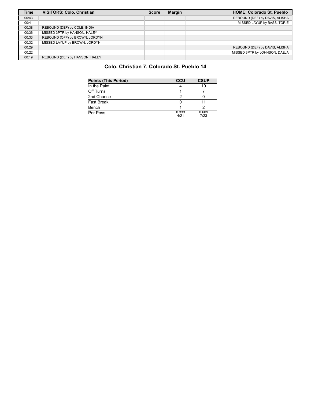| <b>Time</b> | <b>VISITORS: Colo. Christian</b> | <b>Score</b> | <b>Margin</b> | <b>HOME: Colorado St. Pueblo</b> |
|-------------|----------------------------------|--------------|---------------|----------------------------------|
| 00:43       |                                  |              |               | REBOUND (DEF) by DAVIS, ALISHA   |
| 00:41       |                                  |              |               | MISSED LAYUP by BASS, TORIE      |
| 00:38       | REBOUND (DEF) by COLE, INDIA     |              |               |                                  |
| 00:36       | MISSED 3PTR by HANSON, HALEY     |              |               |                                  |
| 00:33       | REBOUND (OFF) by BROWN, JORDYN   |              |               |                                  |
| 00:32       | MISSED LAYUP by BROWN, JORDYN    |              |               |                                  |
| 00:29       |                                  |              |               | REBOUND (DEF) by DAVIS, ALISHA   |
| 00:22       |                                  |              |               | MISSED 3PTR by JOHNSON, DAEJA    |
| 00:19       | REBOUND (DEF) by HANSON, HALEY   |              |               |                                  |

# **Colo. Christian 7, Colorado St. Pueblo 14**

| <b>Points (This Period)</b> | CCU           | <b>CSUP</b>   |
|-----------------------------|---------------|---------------|
| In the Paint                |               | 10            |
| Off Turns                   |               |               |
| 2nd Chance                  |               |               |
| <b>Fast Break</b>           |               |               |
| Bench                       |               |               |
| Per Poss                    | 0.333<br>4/21 | 0.609<br>7/23 |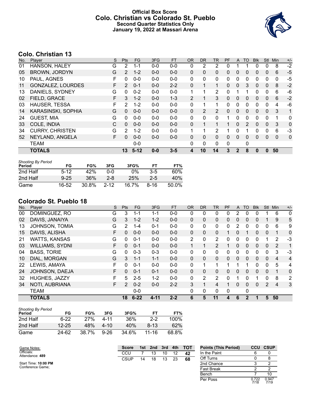### **Official Box Score Colo. Christian vs Colorado St. Pueblo Second Quarter Statistics Only January 19, 2022 at Massari Arena**



# **Colo. Christian 13**

| No. | Player                   | S | <b>Pts</b> | <b>FG</b> | 3FG     | <b>FT</b> | 0R           | <b>DR</b>    | TR. | PF | A            | TO | <b>BIK</b> | <b>Stl</b>   | Min | $+/-$ |
|-----|--------------------------|---|------------|-----------|---------|-----------|--------------|--------------|-----|----|--------------|----|------------|--------------|-----|-------|
| 01  | HANSON, HALEY            | G | 2          | 1-1       | $0 - 0$ | $0-0$     | 0            | 2            | 2   | 0  |              |    | 0          | 0            | 8   | $-2$  |
| 05  | <b>BROWN, JORDYN</b>     | G | 2          | $1 - 2$   | $0 - 0$ | $0 - 0$   | $\mathbf{0}$ | 0            | 0   | 0  | $\mathbf{0}$ | 0  | 0          | 0            | 6   | $-5$  |
| 10  | PAUL, AGNES              | F | 0          | $0 - 0$   | $0 - 0$ | $0-0$     | 0            | 0            | 0   | 0  | 0            | 0  | 0          | 0            | 0   | $-5$  |
| 11  | <b>GONZALEZ, LOURDES</b> | F | 2          | $0 - 1$   | $0 - 0$ | $2 - 2$   | $\mathbf{0}$ |              | 1   | 0  | $\mathbf{0}$ | 3  | 0          | $\mathbf{0}$ | 8   | $-2$  |
| 13  | DANIELS, SYDNEY          | G | 0          | $0 - 2$   | $0 - 0$ | $0-0$     | 1            |              | 2   | 0  |              |    | 0          | 0            | 6   | -6    |
| 02  | FIELD, GRACE             | F | 3          | $1 - 2$   | $0 - 0$ | $1 - 3$   | 2            |              | 3   | 0  | $\mathbf{0}$ | 0  | 0          | $\mathbf{0}$ | 6   | $-2$  |
| 03  | <b>HAUSER, TESSA</b>     | F | 2          | 1-2       | $0 - 0$ | $0-0$     | $\Omega$     |              | 1   | 0  | 0            | 0  | 0          | $\Omega$     | 4   | -6    |
| 14  | KARASINSKI, SOPHIA       | G | $\Omega$   | $0 - 0$   | $0 - 0$ | $0 - 0$   | $\mathbf{0}$ | 2            | 2   | 0  | $\mathbf{0}$ | 0  | 0          | $\mathbf{0}$ | 3   | 1     |
| 24  | <b>GUEST, MIA</b>        | G | $\Omega$   | $0 - 0$   | $0 - 0$ | $0-0$     | $\Omega$     | 0            | 0   | 1  | $\Omega$     | 0  | 0          | $\mathbf 0$  | 1   | 0     |
| 33  | COLE, INDIA              | С | $\Omega$   | $0 - 0$   | $0 - 0$ | $0 - 0$   | $\mathbf{0}$ |              |     |    | $\mathbf{0}$ | 2  | 0          | $\mathbf{0}$ | 3   | 0     |
| 34  | <b>CURRY, CHRISTEN</b>   | G | 2          | $1 - 2$   | $0 - 0$ | $0 - 0$   | 1            |              | 2   |    | 0            |    | 0          | 0            | 6   | -3    |
| 52  | NEYLAND, ANGELA          | F | $\Omega$   | $0 - 0$   | $0 - 0$ | $0 - 0$   | $\mathbf{0}$ | $\mathbf{0}$ | 0   | 0  | $\Omega$     | 0  | 0          | $\mathbf{0}$ | 0   | 0     |
|     | <b>TEAM</b>              |   |            | $0 - 0$   |         |           | $\Omega$     | 0            | 0   | 0  |              | 0  |            |              |     |       |
|     | <b>TOTALS</b>            |   | 13         | $5-12$    | $0 - 0$ | $3 - 5$   | 4            | 10           | 14  | 3  | $\mathbf{2}$ | 8  | 0          | $\bf{0}$     | 50  |       |

| <b>Shooting By Period</b><br>Period | FG       | FG%   | 3FG      | 3FG%  | FТ    | FT%      |
|-------------------------------------|----------|-------|----------|-------|-------|----------|
|                                     |          |       |          |       |       |          |
| 2nd Half                            | $5-12$   | 42%   | ი-ი      | $0\%$ | $3-5$ | 60%      |
| 2nd Half                            | $9 - 25$ | 36%   | $2 - 8$  | 25%   | $2-5$ | 40%      |
| Game                                | 16-52    | 30.8% | $2 - 12$ | 16.7% | 8-16  | $50.0\%$ |

# **Colorado St. Pueblo 18**

| No. | Plaver                 | S  | Pts            | <b>FG</b> | 3FG      | <b>FT</b> | 0R             | DR.            | <b>TR</b>      | PF | A            | TO          | <b>B</b> lk | <b>Stl</b>     | Min            | $+/-$          |
|-----|------------------------|----|----------------|-----------|----------|-----------|----------------|----------------|----------------|----|--------------|-------------|-------------|----------------|----------------|----------------|
| 00  | DOMINGUEZ, RO          | G  | 3              | 1-1       | 1-1      | $0-0$     | 0              | 0              | 0              | 0  | 2            | 0           | 0           |                | 6              | 0              |
| 02  | DAVIS, JANAIYA         | G  | 3              | $1 - 2$   | $1 - 2$  | $0 - 0$   | 0              | 0              | 0              | 0  | 0            | 0           | 0           |                | 9              | 5              |
| 13  | JOHNSON, TOMIA         | G  | 2              | $1 - 4$   | $0 - 1$  | $0-0$     | 0              | 0              | 0              | 0  | 2            | 0           | 0           | 0              | 6              | 9              |
| 15  | DAVIS, ALISHA          | F  | 0              | $0 - 0$   | $0 - 0$  | $0 - 0$   | 0              | 0              | $\mathbf{0}$   |    | 0            |             | 0           | $\mathbf{0}$   |                | $\mathbf 0$    |
| 21  | <b>WATTS, KANSAS</b>   | G  | $\Omega$       | $0 - 1$   | $0 - 0$  | $0 - 0$   | $\overline{2}$ | 0              | 2              | 0  | 0            | $\Omega$    | 0           |                | 2              | $-3$           |
| 03  | <b>WILLIAMS, SYDNI</b> | F  | $\Omega$       | $0 - 1$   | $0 - 0$  | $0 - 0$   |                | 1              | $\overline{2}$ |    | 0            | $\Omega$    | 0           | $\mathbf{0}$   | 2              | 1              |
| 04  | <b>BASS, TORIE</b>     | G  | $\Omega$       | $0 - 3$   | $0 - 3$  | $0-0$     | 0              | 0              | $\mathbf{0}$   | 0  | 0            | $\Omega$    | 0           | $\Omega$       | 3              | $-3$           |
| 10  | DIAL, MORGAN           | G  | 3              | $1 - 1$   | $1 - 1$  | $0 - 0$   | 0              | 0              | $\mathbf{0}$   | 0  | $\mathbf{0}$ | $\Omega$    | 0           | $\mathbf{0}$   | $\overline{4}$ | $\overline{4}$ |
| 22  | LEWIS, AMAYA           | E  | $\Omega$       | $0 - 1$   | $0 - 0$  | $0-0$     | 0              | 1              | 1              |    |              | 1           | 0           | $\Omega$       | 5              | 4              |
| 24  | JOHNSON, DAEJA         | F  | $\Omega$       | $0 - 1$   | $0 - 1$  | $0 - 0$   | $\Omega$       | 0              | $\mathbf{0}$   | 0  | $\Omega$     | $\Omega$    | $\Omega$    | $\Omega$       |                | $\mathbf{0}$   |
| 32  | HUGHES, JAZZY          | F  | 5              | $2 - 5$   | $1 - 2$  | $0 - 0$   | 0              | $\overline{2}$ | 2              | 0  |              | $\Omega$    |             | $\Omega$       | 8              | $\overline{2}$ |
| 34  | NOTI, AUBRIANA         | F. | $\overline{2}$ | $0 - 2$   | $0 - 0$  | $2 - 2$   | 3              |                | 4              |    | 0            | $\Omega$    | $\Omega$    | $\overline{2}$ | $\overline{4}$ | 3              |
|     | <b>TEAM</b>            |    |                | $0 - 0$   |          |           | 0              | 0              | $\Omega$       | 0  |              | 0           |             |                |                |                |
|     | <b>TOTALS</b>          |    | 18             | $6 - 22$  | $4 - 11$ | $2 - 2$   | 6              | 5              | 11             | 4  | 6            | $\mathbf 2$ | 1           | 5              | 50             |                |

| <b>Shooting By Period</b><br>Period | FG        | FG%   | 3FG      | 3FG%  | FТ        | FT%   |
|-------------------------------------|-----------|-------|----------|-------|-----------|-------|
| 2nd Half                            | 6-22      | 27%   | 4-11     | 36%   | $2-2$     | 100%  |
| 2nd Half                            | $12 - 25$ | 48%   | 4-10     | 40%   | $8-13$    | 62%   |
| Game                                | 24-62     | 38.7% | $9 - 26$ | 34.6% | $11 - 16$ | 68.8% |

| Game Notes:                   | 3rd 4th TOT<br>1st 2nd<br><b>Score</b> |    |    |    | <b>Points (This Period)</b> | <b>CCU</b> | <b>CSUP</b>  |               |               |
|-------------------------------|----------------------------------------|----|----|----|-----------------------------|------------|--------------|---------------|---------------|
| Officials:<br>Attendance: 489 | CCU                                    |    | 13 | 10 | 12                          | 42         | In the Paint |               |               |
|                               | <b>CSUP</b>                            | 14 | 18 | 13 | 23                          | 68         | Off Turns    |               |               |
| Start Time: 10:00 PM          |                                        |    |    |    |                             |            | 2nd Chance   |               |               |
| Conference Game;              |                                        |    |    |    |                             |            | Fast Break   |               |               |
|                               |                                        |    |    |    |                             |            | Bench        |               | 10            |
|                               |                                        |    |    |    |                             |            | Per Poss     | 0.722<br>7/18 | 0.947<br>7/19 |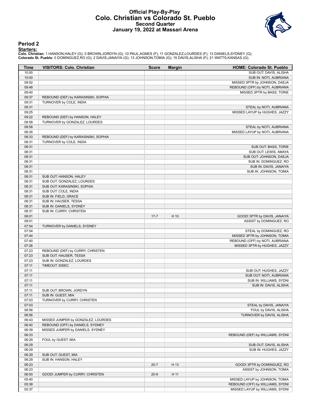#### **Official Play-By-Play Colo. Christian vs Colorado St. Pueblo Second Quarter January 19, 2022 at Massari Arena**



#### **Period 2**

<mark>Starters:</mark><br>Colo. Christian: 1 HANSON,HALEY (G); 5 BROWN,JORDYN (G); 10 PAUL,AGNES (F); 11 GONZALEZ,LOURDES (F); 13 DANIELS,SYDNEY (G);<br>Colorado St. Pueblo: 0 DOMINGUEZ,RO (G); 2 DAVIS,JANAIYA (G); 13 JOHNSON,TOMIA (G); 15

| Time           | <b>VISITORS: Colo. Christian</b>                                     | <b>Score</b> | <b>Margin</b> | <b>HOME: Colorado St. Pueblo</b>                          |
|----------------|----------------------------------------------------------------------|--------------|---------------|-----------------------------------------------------------|
| 10:00          |                                                                      |              |               | SUB OUT: DAVIS, ALISHA                                    |
| 10:00          |                                                                      |              |               | SUB IN: NOTI, AUBRIANA                                    |
| 09:52          |                                                                      |              |               | MISSED 3PTR by JOHNSON, DAEJA                             |
| 09:48          |                                                                      |              |               | REBOUND (OFF) by NOTI, AUBRIANA                           |
| 09:40          |                                                                      |              |               | MISSED 3PTR by BASS, TORIE                                |
| 09:37          | REBOUND (DEF) by KARASINSKI, SOPHIA                                  |              |               |                                                           |
| 09:31          | TURNOVER by COLE, INDIA                                              |              |               |                                                           |
| 09:31          |                                                                      |              |               | STEAL by NOTI, AUBRIANA                                   |
| 09:25<br>09:22 |                                                                      |              |               | MISSED LAYUP by HUGHES, JAZZY                             |
| 08:58          | REBOUND (DEF) by HANSON, HALEY<br>TURNOVER by GONZALEZ, LOURDES      |              |               |                                                           |
| 08:58          |                                                                      |              |               |                                                           |
| 08:35          |                                                                      |              |               | STEAL by NOTI, AUBRIANA<br>MISSED LAYUP by NOTI, AUBRIANA |
| 08:33          | REBOUND (DEF) by KARASINSKI, SOPHIA                                  |              |               |                                                           |
| 08:31          | TURNOVER by COLE, INDIA                                              |              |               |                                                           |
| 08:31          |                                                                      |              |               | SUB OUT: BASS, TORIE                                      |
| 08:31          |                                                                      |              |               | SUB OUT: LEWIS, AMAYA                                     |
| 08:31          |                                                                      |              |               | SUB OUT: JOHNSON, DAEJA                                   |
| 08:31          |                                                                      |              |               | SUB IN: DOMINGUEZ, RO                                     |
| 08:31          |                                                                      |              |               | SUB IN: DAVIS, JANAIYA                                    |
| 08:31          |                                                                      |              |               | SUB IN: JOHNSON, TOMIA                                    |
| 08:31          | SUB OUT: HANSON, HALEY                                               |              |               |                                                           |
| 08:31          | SUB OUT: GONZALEZ, LOURDES                                           |              |               |                                                           |
| 08:31          | SUB OUT: KARASINSKI, SOPHIA                                          |              |               |                                                           |
| 08:31          | SUB OUT: COLE, INDIA                                                 |              |               |                                                           |
| 08:31          | SUB IN: FIELD, GRACE                                                 |              |               |                                                           |
| 08:31          | SUB IN: HAUSER, TESSA                                                |              |               |                                                           |
| 08:31          | SUB IN: DANIELS, SYDNEY                                              |              |               |                                                           |
| 08:31          | SUB IN: CURRY, CHRISTEN                                              |              |               |                                                           |
| 08:01          |                                                                      | $17 - 7$     | H 10          | GOOD! 3PTR by DAVIS, JANAIYA                              |
| 08:01          |                                                                      |              |               | ASSIST by DOMINGUEZ, RO                                   |
| 07:54          | TURNOVER by DANIELS, SYDNEY                                          |              |               |                                                           |
| 07:54          |                                                                      |              |               | STEAL by DOMINGUEZ, RO                                    |
| 07:44          |                                                                      |              |               | MISSED 3PTR by JOHNSON, TOMIA                             |
| 07:40          |                                                                      |              |               | REBOUND (OFF) by NOTI, AUBRIANA                           |
| 07:26          |                                                                      |              |               | MISSED 3PTR by HUGHES, JAZZY                              |
| 07:23          | REBOUND (DEF) by CURRY, CHRISTEN                                     |              |               |                                                           |
| 07:23          | SUB OUT: HAUSER, TESSA                                               |              |               |                                                           |
| 07:23          | SUB IN: GONZALEZ, LOURDES                                            |              |               |                                                           |
| 07:11          | TIMEOUT 30SEC                                                        |              |               |                                                           |
| 07:11          |                                                                      |              |               | SUB OUT: HUGHES, JAZZY                                    |
| 07:11          |                                                                      |              |               | SUB OUT: NOTI, AUBRIANA                                   |
| 07:11          |                                                                      |              |               | SUB IN: WILLIAMS, SYDNI                                   |
| 07:11          |                                                                      |              |               | SUB IN: DAVIS, ALISHA                                     |
| 07:11          | SUB OUT: BROWN, JORDYN                                               |              |               |                                                           |
| 07:11          | SUB IN: GUEST, MIA                                                   |              |               |                                                           |
| 07:03          | TURNOVER by CURRY, CHRISTEN                                          |              |               |                                                           |
| 07:03          |                                                                      |              |               | STEAL by DAVIS, JANAIYA                                   |
| 06:56          |                                                                      |              |               | FOUL by DAVIS, ALISHA                                     |
| 06:56          |                                                                      |              |               | TURNOVER by DAVIS, ALISHA                                 |
| 06:43          | MISSED JUMPER by GONZALEZ, LOURDES                                   |              |               |                                                           |
| 06:40<br>06:39 | REBOUND (OFF) by DANIELS, SYDNEY<br>MISSED JUMPER by DANIELS, SYDNEY |              |               |                                                           |
|                |                                                                      |              |               |                                                           |
| 06:33<br>06:29 | FOUL by GUEST, MIA                                                   |              |               | REBOUND (DEF) by WILLIAMS, SYDNI                          |
| 06:29          |                                                                      |              |               | SUB OUT: DAVIS, ALISHA                                    |
| 06:29          |                                                                      |              |               | SUB IN: HUGHES, JAZZY                                     |
| 06:29          | SUB OUT: GUEST, MIA                                                  |              |               |                                                           |
| 06:29          | SUB IN: HANSON, HALEY                                                |              |               |                                                           |
| 06:23          |                                                                      | $20 - 7$     | H 13          | GOOD! 3PTR by DOMINGUEZ, RO                               |
| 06:23          |                                                                      |              |               | ASSIST by JOHNSON, TOMIA                                  |
| 06:00          | GOOD! JUMPER by CURRY, CHRISTEN                                      | $20-9$       | H 11          |                                                           |
| 05:40          |                                                                      |              |               | MISSED LAYUP by JOHNSON, TOMIA                            |
| 05:38          |                                                                      |              |               | REBOUND (OFF) by WILLIAMS, SYDNI                          |
| 05:37          |                                                                      |              |               | MISSED LAYUP by WILLIAMS, SYDNI                           |
|                |                                                                      |              |               |                                                           |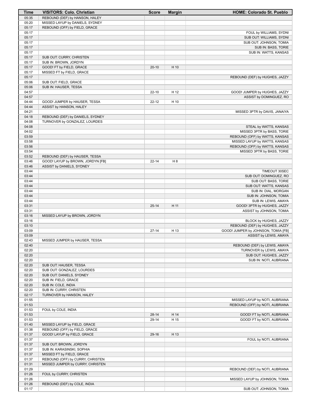| Time           | <b>VISITORS: Colo. Christian</b>                                     | <b>Score</b> | <b>Margin</b>  | <b>HOME: Colorado St. Pueblo</b>                              |
|----------------|----------------------------------------------------------------------|--------------|----------------|---------------------------------------------------------------|
| 05:35          | REBOUND (DEF) by HANSON, HALEY                                       |              |                |                                                               |
| 05:20          | MISSED LAYUP by DANIELS, SYDNEY                                      |              |                |                                                               |
| 05:17          | REBOUND (OFF) by FIELD, GRACE                                        |              |                |                                                               |
| 05:17          |                                                                      |              |                | FOUL by WILLIAMS, SYDNI                                       |
| 05:17<br>05:17 |                                                                      |              |                | SUB OUT: WILLIAMS, SYDNI                                      |
| 05:17          |                                                                      |              |                | SUB OUT: JOHNSON, TOMIA<br>SUB IN: BASS, TORIE                |
| 05:17          |                                                                      |              |                | SUB IN: WATTS, KANSAS                                         |
| 05:17          | SUB OUT: CURRY, CHRISTEN                                             |              |                |                                                               |
| 05:17          | SUB IN: BROWN, JORDYN                                                |              |                |                                                               |
| 05:17          | GOOD! FT by FIELD, GRACE                                             | $20 - 10$    | H 10           |                                                               |
| 05:17          | MISSED FT by FIELD, GRACE                                            |              |                |                                                               |
| 05:17          |                                                                      |              |                | REBOUND (DEF) by HUGHES, JAZZY                                |
| 05:06          | SUB OUT: FIELD, GRACE                                                |              |                |                                                               |
| 05:06          | SUB IN: HAUSER, TESSA                                                |              |                |                                                               |
| 04:57          |                                                                      | $22 - 10$    | H 12           | GOOD! JUMPER by HUGHES, JAZZY                                 |
| 04:57          |                                                                      |              |                | ASSIST by DOMINGUEZ, RO                                       |
| 04:44          | GOOD! JUMPER by HAUSER, TESSA                                        | 22-12        | H 10           |                                                               |
| 04:44<br>04:21 | ASSIST by HANSON, HALEY                                              |              |                | MISSED 3PTR by DAVIS, JANAIYA                                 |
| 04:18          | REBOUND (DEF) by DANIELS, SYDNEY                                     |              |                |                                                               |
| 04:08          | TURNOVER by GONZALEZ, LOURDES                                        |              |                |                                                               |
| 04:08          |                                                                      |              |                | STEAL by WATTS, KANSAS                                        |
| 04:02          |                                                                      |              |                | MISSED 3PTR by BASS, TORIE                                    |
| 03:59          |                                                                      |              |                | REBOUND (OFF) by WATTS, KANSAS                                |
| 03:58          |                                                                      |              |                | MISSED LAYUP by WATTS, KANSAS                                 |
| 03:56          |                                                                      |              |                | REBOUND (OFF) by WATTS, KANSAS                                |
| 03:54          |                                                                      |              |                | MISSED 3PTR by BASS, TORIE                                    |
| 03:52          | REBOUND (DEF) by HAUSER, TESSA                                       |              |                |                                                               |
| 03:46          | GOOD! LAYUP by BROWN, JORDYN [FB]                                    | $22 - 14$    | H <sub>8</sub> |                                                               |
| 03:46          | ASSIST by DANIELS, SYDNEY                                            |              |                |                                                               |
| 03:44<br>03:44 |                                                                      |              |                | TIMEOUT 30SEC<br>SUB OUT: DOMINGUEZ, RO                       |
| 03:44          |                                                                      |              |                | SUB OUT: BASS, TORIE                                          |
| 03:44          |                                                                      |              |                | SUB OUT: WATTS, KANSAS                                        |
| 03:44          |                                                                      |              |                | SUB IN: DIAL, MORGAN                                          |
| 03:44          |                                                                      |              |                | SUB IN: JOHNSON, TOMIA                                        |
| 03:44          |                                                                      |              |                | SUB IN: LEWIS, AMAYA                                          |
| 03:31          |                                                                      | $25 - 14$    | H 11           | GOOD! 3PTR by HUGHES, JAZZY                                   |
| 03:31          |                                                                      |              |                | ASSIST by JOHNSON, TOMIA                                      |
| 03:16          | MISSED LAYUP by BROWN, JORDYN                                        |              |                |                                                               |
| 03:16          |                                                                      |              |                | BLOCK by HUGHES, JAZZY                                        |
| 03:10          |                                                                      |              |                | REBOUND (DEF) by HUGHES, JAZZY                                |
| 03:09<br>03:09 |                                                                      | $27 - 14$    | H 13           | GOOD! JUMPER by JOHNSON, TOMIA [FB]<br>ASSIST by LEWIS, AMAYA |
| 02:43          | MISSED JUMPER by HAUSER, TESSA                                       |              |                |                                                               |
| 02:40          |                                                                      |              |                | REBOUND (DEF) by LEWIS, AMAYA                                 |
| 02:20          |                                                                      |              |                | TURNOVER by LEWIS, AMAYA                                      |
| 02:20          |                                                                      |              |                | SUB OUT: HUGHES, JAZZY                                        |
| 02:20          |                                                                      |              |                | SUB IN: NOTI, AUBRIANA                                        |
| 02:20          | SUB OUT: HAUSER, TESSA                                               |              |                |                                                               |
| 02:20          | SUB OUT: GONZALEZ, LOURDES                                           |              |                |                                                               |
| 02:20          | SUB OUT: DANIELS, SYDNEY                                             |              |                |                                                               |
| 02:20          | SUB IN: FIELD, GRACE                                                 |              |                |                                                               |
| 02:20          | SUB IN: COLE, INDIA                                                  |              |                |                                                               |
| 02:20          | SUB IN: CURRY, CHRISTEN                                              |              |                |                                                               |
| 02:17<br>01:55 | TURNOVER by HANSON, HALEY                                            |              |                | MISSED LAYUP by NOTI, AUBRIANA                                |
| 01:53          |                                                                      |              |                | REBOUND (OFF) by NOTI, AUBRIANA                               |
| 01:53          | FOUL by COLE, INDIA                                                  |              |                |                                                               |
| 01:53          |                                                                      | $28 - 14$    | H 14           | GOOD! FT by NOTI, AUBRIANA                                    |
| 01:53          |                                                                      | 29-14        | H 15           | GOOD! FT by NOTI, AUBRIANA                                    |
| 01:40          | MISSED LAYUP by FIELD, GRACE                                         |              |                |                                                               |
| 01:38          | REBOUND (OFF) by FIELD, GRACE                                        |              |                |                                                               |
| 01:37          | GOOD! LAYUP by FIELD, GRACE                                          | 29-16        | H 13           |                                                               |
| 01:37          |                                                                      |              |                | FOUL by NOTI, AUBRIANA                                        |
| 01:37          | SUB OUT: BROWN, JORDYN                                               |              |                |                                                               |
| 01:37          | SUB IN: KARASINSKI, SOPHIA                                           |              |                |                                                               |
| 01:37          | MISSED FT by FIELD, GRACE                                            |              |                |                                                               |
| 01:37<br>01:31 | REBOUND (OFF) by CURRY, CHRISTEN<br>MISSED JUMPER by CURRY, CHRISTEN |              |                |                                                               |
| 01:29          |                                                                      |              |                | REBOUND (DEF) by NOTI, AUBRIANA                               |
| 01:26          | FOUL by CURRY, CHRISTEN                                              |              |                |                                                               |
| 01:26          |                                                                      |              |                | MISSED LAYUP by JOHNSON, TOMIA                                |
| 01:26          | REBOUND (DEF) by COLE, INDIA                                         |              |                |                                                               |
| 01:17          |                                                                      |              |                | SUB OUT: JOHNSON, TOMIA                                       |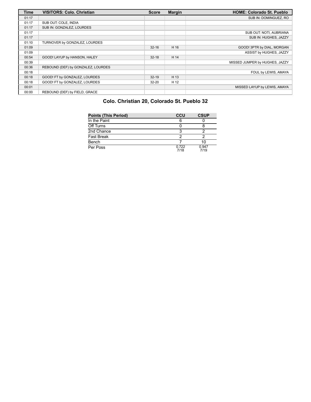| <b>Time</b> | <b>VISITORS: Colo. Christian</b>   | <b>Score</b> | <b>Margin</b> | <b>HOME: Colorado St. Pueblo</b> |
|-------------|------------------------------------|--------------|---------------|----------------------------------|
| 01:17       |                                    |              |               | SUB IN: DOMINGUEZ, RO            |
| 01:17       | SUB OUT: COLE, INDIA               |              |               |                                  |
| 01:17       | SUB IN: GONZALEZ, LOURDES          |              |               |                                  |
| 01:17       |                                    |              |               | SUB OUT: NOTI, AUBRIANA          |
| 01:17       |                                    |              |               | SUB IN: HUGHES, JAZZY            |
| 01:10       | TURNOVER by GONZALEZ, LOURDES      |              |               |                                  |
| 01:09       |                                    | $32 - 16$    | H 16          | GOOD! 3PTR by DIAL, MORGAN       |
| 01:09       |                                    |              |               | ASSIST by HUGHES, JAZZY          |
| 00:54       | GOOD! LAYUP by HANSON, HALEY       | $32 - 18$    | H 14          |                                  |
| 00:39       |                                    |              |               | MISSED JUMPER by HUGHES, JAZZY   |
| 00:36       | REBOUND (DEF) by GONZALEZ, LOURDES |              |               |                                  |
| 00:18       |                                    |              |               | FOUL by LEWIS, AMAYA             |
| 00:18       | GOOD! FT by GONZALEZ, LOURDES      | $32 - 19$    | H 13          |                                  |
| 00:18       | GOOD! FT by GONZALEZ, LOURDES      | $32 - 20$    | H 12          |                                  |
| 00:01       |                                    |              |               | MISSED LAYUP by LEWIS, AMAYA     |
| 00:00       | REBOUND (DEF) by FIELD, GRACE      |              |               |                                  |

# **Colo. Christian 20, Colorado St. Pueblo 32**

| <b>Points (This Period)</b> | CCU           | <b>CSUP</b>   |
|-----------------------------|---------------|---------------|
| In the Paint                |               |               |
| Off Turns                   |               |               |
| 2nd Chance                  |               |               |
| Fast Break                  |               |               |
| Bench                       |               | 10            |
| Per Poss                    | 0.722<br>7/18 | 0.947<br>7/19 |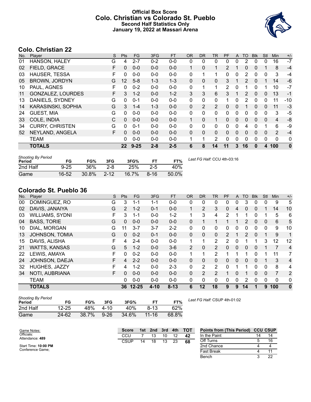### **Official Box Score Colo. Christian vs Colorado St. Pueblo Second Half Statistics Only January 19, 2022 at Massari Arena**



# **Colo. Christian 22**

| No. | Player                   | S | <b>Pts</b> | <b>FG</b> | 3FG     | <b>FT</b> | <b>OR</b>    | <b>DR</b> | <b>TR</b>      | PF             | A | <b>TO</b> | <b>Blk</b> | Stl      | <b>Min</b> | $+/-$    |
|-----|--------------------------|---|------------|-----------|---------|-----------|--------------|-----------|----------------|----------------|---|-----------|------------|----------|------------|----------|
| 01  | HANSON, HALEY            | G | 4          | $2 - 7$   | $0 - 2$ | $0-0$     | 0            | 0         | $\mathbf{0}$   | $\mathbf{0}$   | 0 | 2         | $\Omega$   | 0        | 16         | $-7$     |
| 02  | FIELD, GRACE             | F | $\Omega$   | $0 - 0$   | $0 - 0$ | $0-0$     | 1            | 0         | 1              | $\overline{2}$ |   | 0         | 0          | 1        | 8          | $-4$     |
| 03  | <b>HAUSER, TESSA</b>     | F | $\Omega$   | $0 - 0$   | $0 - 0$ | $0 - 0$   | 0            | 1         | 1              | $\Omega$       | 0 | 2         | $\Omega$   | 0        | 3          | $-4$     |
| 05  | <b>BROWN, JORDYN</b>     | G | 12         | $5 - 8$   | $1 - 3$ | $1 - 3$   | $\Omega$     | $\Omega$  | $\Omega$       | 3              | 1 | 2         | $\Omega$   | 1        | 14         | $-6$     |
| 10  | PAUL, AGNES              | F | 0          | $0 - 2$   | $0 - 0$ | $0 - 0$   | 0            | 1         | 1              | 2              | 0 | 1         | 0          | 1        | 10         | $-7$     |
| 11  | <b>GONZALEZ, LOURDES</b> | F | 3          | $1 - 2$   | $0 - 0$ | $1 - 2$   | 3            | 3         | 6              | 3              | 1 | 2         | 0          | $\Omega$ | 13         | $-1$     |
| 13  | DANIELS, SYDNEY          | G | 0          | $0 - 1$   | $0 - 0$ | $0-0$     | 0            | 0         | $\mathbf{0}$   | 1              | 0 | 2         | $\Omega$   | 0        | 11         | $-10$    |
| 14  | KARASINSKI, SOPHIA       | G | 3          | $1 - 4$   | $1 - 3$ | $0 - 0$   | 0            | 2         | 2              | 0              | 0 |           | 0          | $\Omega$ | 11         | $-3$     |
| 24  | <b>GUEST, MIA</b>        | G | 0          | $0 - 0$   | $0 - 0$ | $0-0$     | 0            | 0         | $\mathbf{0}$   | 0              | 0 | 0         | 0          | 0        | 3          | $-5$     |
| 33  | COLE, INDIA              | С | $\Omega$   | $0-0$     | $0 - 0$ | $0 - 0$   | $\mathbf{1}$ | 0         | 1              | $\Omega$       | 0 | $\Omega$  | 0          | $\Omega$ | 4          | -8       |
| 34  | <b>CURRY, CHRISTEN</b>   | G | 0          | $0 - 1$   | $0 - 0$ | $0-0$     | 0            | 0         | $\mathbf{0}$   | 0              | 0 | 4         | $\Omega$   | 1        | 6          | -9       |
| 52  | NEYLAND, ANGELA          | F | $\Omega$   | $0 - 0$   | $0 - 0$ | $0 - 0$   | 0            | $\Omega$  | $\Omega$       | $\Omega$       | 0 | $\Omega$  | 0          | $\Omega$ | 2          | $-4$     |
|     | <b>TEAM</b>              |   | 0          | $0 - 0$   | $0 - 0$ | $0 - 0$   |              | 1         | $\overline{2}$ | $\Omega$       | 0 | 0         | $\Omega$   | 0        | 0          | 0        |
|     | <b>TOTALS</b>            |   | $22 \,$    | $9 - 25$  | $2 - 8$ | $2 - 5$   | 6            | 8         | 14             | 11             | 3 | 16        | $\bf{0}$   | 4        | 100        | $\bf{0}$ |

| <b>Shooting By Period</b><br>Period | FG       | FG%   | 3FG      | 3FG%  | FT    | FT%   | Last FG Half: CCU 4th-03:16 |
|-------------------------------------|----------|-------|----------|-------|-------|-------|-----------------------------|
| 2nd Half                            | $9 - 25$ | 36%   | $2 - 8$  | 25%   | $2-5$ | 40%   |                             |
| Game                                | 16-52    | 30.8% | $2 - 12$ | 16.7% | 8-16  | 50.0% |                             |

# **Colorado St. Pueblo 36**

| No. | Player                | S  | Pts           | <b>FG</b> | 3FG      | <b>FT</b> | <b>OR</b>      | <b>DR</b> | TR       | PF             | A        | TO             | <b>Blk</b>   | Stl      | Min            | $+/-$          |
|-----|-----------------------|----|---------------|-----------|----------|-----------|----------------|-----------|----------|----------------|----------|----------------|--------------|----------|----------------|----------------|
| 00  | DOMINGUEZ, RO         | G  | 3             | 1-1       | 1-1      | $0-0$     | 0              | 0         | 0        | 0              | 0        | 3              | 0            | 0        | 9              | 5              |
| 02  | DAVIS, JANAIYA        | G  | $\mathcal{P}$ | $1 - 2$   | $0 - 1$  | $0 - 0$   | $\mathbf{1}$   | 2         | 3        | 0              | 4        | 0              | $\mathbf{0}$ |          | 14             | 10             |
| 03  | WILLIAMS, SYDNI       | F. | 3             | $1 - 1$   | $0 - 0$  | $1 - 2$   | 1              | 3         | 4        | $\overline{2}$ | 1        |                | 0            |          | 5              | 6              |
| 04  | <b>BASS, TORIE</b>    | G  | 0             | $0 - 0$   | $0 - 0$  | $0 - 0$   | $\mathbf{0}$   |           |          |                |          | $\overline{2}$ | $\mathbf{0}$ | 0        | 6              | 5              |
| 10  | DIAL, MORGAN          | G  | 11            | $3 - 7$   | $3 - 7$  | $2 - 2$   | 0              | 0         | 0        | 0              | 0        | 0              | $\mathbf{0}$ | 0        | 9              | 10             |
| 13  | <b>JOHNSON, TOMIA</b> | G  | 0             | $0 - 2$   | $0 - 1$  | $0 - 0$   | $\mathbf{0}$   | $\Omega$  | $\Omega$ | $\mathcal{P}$  | 1        | 2              | $\Omega$     |          | 9              | 1              |
| 15  | DAVIS, ALISHA         | F  | 4             | $2 - 4$   | $0 - 0$  | $0 - 0$   | 1              |           | 2        | 2              | 0        | 1              |              | 3        | 12             | 12             |
| 21  | <b>WATTS, KANSAS</b>  | G  | 5             | $1 - 2$   | $0 - 0$  | $3-6$     | $\overline{2}$ | 0         | 2        | 0              | $\Omega$ | 0              | $\Omega$     |          | $\overline{7}$ | $\overline{4}$ |
| 22  | LEWIS, AMAYA          | F  | 0             | $0 - 2$   | $0 - 0$  | $0 - 0$   | 1              |           | 2        |                | 1        | ◢              | 0            |          | 11             | 7              |
| 24  | JOHNSON, DAEJA        | F  | 4             | $2 - 2$   | $0 - 0$  | $0 - 0$   | $\Omega$       | 0         | $\Omega$ | 0              | $\Omega$ | 0              | 0            |          | 3              | 4              |
| 32  | HUGHES, JAZZY         | F  | 4             | $1 - 2$   | $0 - 0$  | $2 - 3$   | 0              | 2         | 2        | 0              | 1        | 1              | 0            | $\Omega$ | 8              | 4              |
| 34  | NOTI, AUBRIANA        | F  | 0             | $0 - 0$   | $0 - 0$  | $0 - 0$   | 0              | 2         | 2        |                | 0        |                | 0            | $\Omega$ | 7              | 2              |
|     | <b>TEAM</b>           |    | 0             | $0-0$     | $0 - 0$  | $0 - 0$   | 0              | 0         | 0        | 0              | 0        | 2              | 0            | $\Omega$ | $\mathbf{0}$   | 0              |
|     | <b>TOTALS</b>         |    |               | 36 12-25  | $4 - 10$ | $8 - 13$  | 6              | 12        | 18       | 9              | 9        | 14             |              | 9        | 100            | $\bf{0}$       |

| <b>Shooting By Period</b><br>Period | FG        | FG%   | 3FG      | 3FG%            | FТ        | FT%   | La |
|-------------------------------------|-----------|-------|----------|-----------------|-----------|-------|----|
| 2nd Half                            | $12 - 25$ | 48%   | 4-10     | 40 <sup>%</sup> | $8-13$    | 62%   |    |
| Game                                | 24-62     | 38.7% | $9 - 26$ | 34.6%           | $11 - 16$ | 68.8% |    |

*Last FG Half:* CSUP 4th-01:02

| Game Notes:                   |  | <b>- тот</b><br>3rd<br>4th<br>1st<br>2nd<br><b>Score</b> |    |    |    | <b>Points from (This Period)</b> | <b>CCU CSUP</b> |                   |  |    |
|-------------------------------|--|----------------------------------------------------------|----|----|----|----------------------------------|-----------------|-------------------|--|----|
| Officials:<br>Attendance: 489 |  | ccu                                                      |    |    |    |                                  | 42              | In the Paint      |  | 14 |
|                               |  | <b>CSUP</b>                                              | 14 | 18 | 13 | 23                               | 68              | Off Turns         |  |    |
| Start Time: 10:00 PM          |  |                                                          |    |    |    |                                  |                 | 2nd Chance        |  |    |
| Conference Game:              |  |                                                          |    |    |    |                                  |                 | <b>Fast Break</b> |  |    |
|                               |  |                                                          |    |    |    |                                  |                 | Bench             |  | つつ |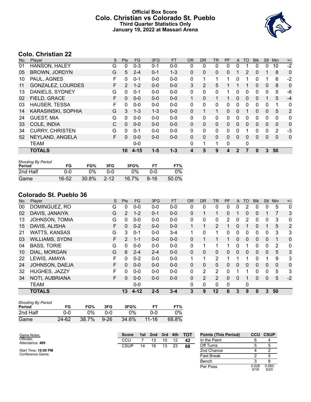### **Official Box Score Colo. Christian vs Colorado St. Pueblo Third Quarter Statistics Only January 19, 2022 at Massari Arena**



# **Colo. Christian 22**

| No. | Plaver                   | S  | <b>Pts</b>            | <b>FG</b> | 3FG     | <b>FT</b> | 0R           | <b>DR</b>    | TR | <b>PF</b> | $\mathsf{A}$ | TO       | <b>BIK</b> | <b>Stl</b>   | Min          | $+/-$          |
|-----|--------------------------|----|-----------------------|-----------|---------|-----------|--------------|--------------|----|-----------|--------------|----------|------------|--------------|--------------|----------------|
| 01  | <b>HANSON, HALEY</b>     | G  | 0                     | $0 - 3$   | $0 - 1$ | $0-0$     | 0            | 0            | 0  | 0         | 0            |          | 0          | $\Omega$     | 10           | $-2$           |
| 05  | <b>BROWN, JORDYN</b>     | G  | 5                     | $2 - 4$   | $0 - 1$ | $1 - 3$   | $\Omega$     | $\mathbf{0}$ | 0  | 0         |              | 2        | 0          |              | 8            | $\mathbf 0$    |
| 10  | PAUL, AGNES              | F  | 0                     | $0 - 1$   | $0 - 0$ | $0-0$     | $\mathbf{0}$ |              | 1  | 1         | $\Omega$     |          | 0          |              | 6            | $-2$           |
| 11  | <b>GONZALEZ, LOURDES</b> | F  | $\mathbf{2}^{\prime}$ | $1 - 2$   | $0 - 0$ | $0-0$     | 3            | 2            | 5  |           |              |          | 0          | $\mathbf{0}$ | 8            | $\mathbf 0$    |
| 13  | DANIELS, SYDNEY          | G  | 0                     | $0 - 1$   | $0 - 0$ | $0-0$     | $\Omega$     | $\mathbf{0}$ | 0  |           | $\Omega$     | 0        | 0          | $\Omega$     | 5            | -6             |
| 02  | FIELD, GRACE             | F  | $\Omega$              | $0 - 0$   | $0 - 0$ | $0 - 0$   | $\mathbf{1}$ | $\mathbf{0}$ | 1  |           | 0            | 0        | 0          |              | 5            | $-4$           |
| 03  | HAUSER, TESSA            | F  | 0                     | $0 - 0$   | $0 - 0$ | $0 - 0$   | $\Omega$     | 0            | 0  | 0         | $\Omega$     | 0        | 0          | $\mathbf 0$  | 1            | 0              |
| 14  | KARASINSKI, SOPHIA       | G  | 3                     | $1 - 3$   | $1 - 3$ | $0-0$     | $\mathbf{0}$ |              | 1  | 0         | $\mathbf{0}$ |          | 0          | $\mathbf{0}$ | 5            | $\overline{2}$ |
| 24  | <b>GUEST, MIA</b>        | G  | $\Omega$              | $0 - 0$   | $0 - 0$ | $0-0$     | $\Omega$     | $\Omega$     | 0  | 0         | $\Omega$     | 0        | 0          | $\Omega$     | $\Omega$     | 0              |
| 33  | COLE, INDIA              | C  | $\Omega$              | $0 - 0$   | $0 - 0$ | $0 - 0$   | $\mathbf{0}$ | $\mathbf{0}$ | 0  | 0         | $\Omega$     | $\Omega$ | 0          | $\Omega$     | $\mathbf{0}$ | $\mathbf 0$    |
| 34  | <b>CURRY, CHRISTEN</b>   | G  | $\Omega$              | $0 - 1$   | $0 - 0$ | $0-0$     | $\Omega$     | $\Omega$     | 0  | 0         | $\Omega$     | 1        | 0          | $\Omega$     | 2            | $-3$           |
| 52  | NEYLAND, ANGELA          | F. | $\Omega$              | $0 - 0$   | $0 - 0$ | $0 - 0$   | $\mathbf{0}$ | $\mathbf{0}$ | 0  | 0         | $\Omega$     | 0        | 0          | $\Omega$     | $\mathbf{0}$ | $\mathbf 0$    |
|     | <b>TEAM</b>              |    |                       | $0 - 0$   |         |           | $\Omega$     | 1            | 1  | 0         |              | 0        |            |              |              |                |
|     | <b>TOTALS</b>            |    | 10                    | $4 - 15$  | $1 - 5$ | $1 - 3$   | 4            | 5            | 9  | 4         | $\mathbf{2}$ |          | 0          | 3            | 50           |                |

| <b>Shooting By Period</b><br>Period | FG    | FG%   | 3FG      | 3FG%  |          | FT%   |
|-------------------------------------|-------|-------|----------|-------|----------|-------|
| 2nd Half                            | ი-ი   | $0\%$ | ი-ი      | $0\%$ | ი-ი      | $0\%$ |
| Game                                | 16-52 | 30.8% | $2 - 12$ | 16.7% | $8 - 16$ | 50.0% |

# **Colorado St. Pueblo 36**

| No. | Player                 | S  | Pts            | <b>FG</b> | 3FG     | <b>FT</b> | <b>OR</b> | <b>DR</b>      | <b>TR</b>      | PF | A            | <b>TO</b>    | <b>Blk</b> | Stl          | Min      | $+/-$       |
|-----|------------------------|----|----------------|-----------|---------|-----------|-----------|----------------|----------------|----|--------------|--------------|------------|--------------|----------|-------------|
| 00  | DOMINGUEZ, RO          | G  | 0              | $0 - 0$   | $0 - 0$ | $0-0$     | 0         | 0              | 0              | 0  | 0            | 2            | 0          | 0            | 5        | 0           |
| 02  | DAVIS, JANAIYA         | G  | $\overline{2}$ | $1 - 2$   | $0 - 1$ | $0 - 0$   | 0         |                | 1              | 0  |              | 0            | 0          |              |          | 3           |
| 13  | <b>JOHNSON, TOMIA</b>  | G  | 0              | $0 - 0$   | $0 - 0$ | $0-0$     | 0         | 0              | 0              | 2  | 0            | 2            | 0          | 0            | 3        | 0           |
| 15  | DAVIS, ALISHA          | F  | $\mathbf{0}$   | $0 - 2$   | $0 - 0$ | $0 - 0$   |           |                | $\overline{2}$ |    | 0            |              | 0          |              | 5        | 2           |
| 21  | <b>WATTS, KANSAS</b>   | G  | 3              | $0 - 1$   | $0 - 0$ | $3 - 4$   | 1         | 0              | 1              | 0  | 0            | 0            | 0          | 0            | 3        | 3           |
| 03  | <b>WILLIAMS, SYDNI</b> | F  | 2              | $1 - 1$   | $0 - 0$ | $0 - 0$   | 0         |                | 1              |    | 0            | 0            | 0          | $\mathbf{0}$ |          | 0           |
| 04  | <b>BASS, TORIE</b>     | G  | $\Omega$       | $0 - 0$   | $0 - 0$ | $0 - 0$   | 0         |                | 1              |    | 0            |              | 0          | 0            | 2        | $\mathbf 0$ |
| 10  | DIAL, MORGAN           | G  | 6              | $2 - 4$   | $2 - 4$ | $0 - 0$   | $\Omega$  | 0              | 0              | 0  | $\mathbf{0}$ | $\Omega$     | 0          | $\mathbf{0}$ | 5        | 3           |
| 22  | LEWIS, AMAYA           | F  | $\Omega$       | $0 - 2$   | $0 - 0$ | $0 - 0$   | 1         | 1              | $\overline{2}$ |    |              |              | 0          |              | 9        | 3           |
| 24  | JOHNSON, DAEJA         | F  | $\Omega$       | $0 - 0$   | $0 - 0$ | $0 - 0$   | $\Omega$  | 0              | $\mathbf{0}$   | 0  | $\Omega$     | $\Omega$     | $\Omega$   | $\Omega$     | $\Omega$ | $\mathbf 0$ |
| 32  | HUGHES, JAZZY          | F. | 0              | $0 - 0$   | $0 - 0$ | $0-0$     | 0         | $\overline{2}$ | $\overline{2}$ | 0  |              | 1            | 0          | $\Omega$     | 5        | 3           |
| 34  | NOTI, AUBRIANA         | F. | $\Omega$       | $0 - 0$   | $0 - 0$ | $0 - 0$   | 0         | $\overline{2}$ | $\overline{2}$ | 0  | $\Omega$     |              | 0          | $\mathbf{0}$ | 5        | $-2$        |
|     | <b>TEAM</b>            |    |                | $0 - 0$   |         |           | 0         | 0              | $\mathbf{0}$   | 0  |              | $\mathbf{0}$ |            |              |          |             |
|     | <b>TOTALS</b>          |    | 13             | $4 - 12$  | $2 - 5$ | $3 - 4$   | 3         | 9              | 12             | 6  | 3            | 9            | 0          | 3            | 50       |             |

| <b>Shooting By Period</b><br>Period | FG        | FG%   | 3FG        | 3FG%  | FT        | FT%   |
|-------------------------------------|-----------|-------|------------|-------|-----------|-------|
| 2nd Half                            | 0-0       | ገ%    | <u>ດ-ດ</u> | $0\%$ | 0-0       | $0\%$ |
| Game                                | $24 - 62$ | 38.7% | $9 - 26$   | 34.6% | $11 - 16$ | 68.8% |

| Game Notes:                   |  | <b>Score</b> | <b>TOT</b><br>3rd<br>4th<br>1st.<br>2nd |    |    |    |    | <b>Points (This Period)</b> |               | <b>CCU CSUP</b> |
|-------------------------------|--|--------------|-----------------------------------------|----|----|----|----|-----------------------------|---------------|-----------------|
| Officials:<br>Attendance: 489 |  | CCU          |                                         |    | 10 | 12 | 42 | In the Paint                | 6             |                 |
|                               |  | CSUP         | 14                                      | 18 | 13 | 23 | 68 | Off Turns                   |               |                 |
| Start Time: 10:00 PM          |  |              |                                         |    |    |    |    | 2nd Chance                  |               |                 |
| Conference Game:              |  |              |                                         |    |    |    |    | <b>Fast Break</b>           |               |                 |
|                               |  |              |                                         |    |    |    |    | Bench                       |               | 8               |
|                               |  |              |                                         |    |    |    |    | Per Poss                    | 0.526<br>5/19 | 0.650<br>6/20   |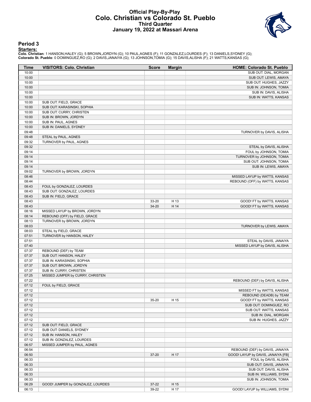#### **Official Play-By-Play Colo. Christian vs Colorado St. Pueblo Third Quarter January 19, 2022 at Massari Arena**



#### **Period 3**

<mark>Starters:</mark><br>Colo. Christian: 1 HANSON,HALEY (G); 5 BROWN,JORDYN (G); 10 PAUL,AGNES (F); 11 GONZALEZ,LOURDES (F); 13 DANIELS,SYDNEY (G);<br>Colorado St. Pueblo: 0 DOMINGUEZ,RO (G); 2 DAVIS,JANAIYA (G); 13 JOHNSON,TOMIA (G); 15

| Time           | <b>VISITORS: Colo. Christian</b>                               | <b>Score</b> | <b>Margin</b> | <b>HOME: Colorado St. Pueblo</b>                     |
|----------------|----------------------------------------------------------------|--------------|---------------|------------------------------------------------------|
| 10:00          |                                                                |              |               | SUB OUT: DIAL, MORGAN                                |
| 10:00          |                                                                |              |               | SUB OUT: LEWIS, AMAYA                                |
| 10:00          |                                                                |              |               | SUB OUT: HUGHES, JAZZY                               |
| 10:00          |                                                                |              |               | SUB IN: JOHNSON, TOMIA                               |
| 10:00          |                                                                |              |               | SUB IN: DAVIS, ALISHA                                |
| 10:00          |                                                                |              |               | SUB IN: WATTS, KANSAS                                |
| 10:00          | SUB OUT: FIELD, GRACE                                          |              |               |                                                      |
| 10:00          | SUB OUT: KARASINSKI, SOPHIA                                    |              |               |                                                      |
| 10:00          | SUB OUT: CURRY, CHRISTEN                                       |              |               |                                                      |
| 10:00<br>10:00 | SUB IN: BROWN, JORDYN<br>SUB IN: PAUL, AGNES                   |              |               |                                                      |
| 10:00          | SUB IN: DANIELS, SYDNEY                                        |              |               |                                                      |
| 09:48          |                                                                |              |               | TURNOVER by DAVIS, ALISHA                            |
| 09:48          | STEAL by PAUL, AGNES                                           |              |               |                                                      |
| 09:32          | TURNOVER by PAUL, AGNES                                        |              |               |                                                      |
| 09:32          |                                                                |              |               | STEAL by DAVIS, ALISHA                               |
| 09:14          |                                                                |              |               | FOUL by JOHNSON, TOMIA                               |
| 09:14          |                                                                |              |               | TURNOVER by JOHNSON, TOMIA                           |
| 09:14          |                                                                |              |               | SUB OUT: JOHNSON, TOMIA                              |
| 09:14          |                                                                |              |               | SUB IN: LEWIS, AMAYA                                 |
| 09:02          | TURNOVER by BROWN, JORDYN                                      |              |               |                                                      |
| 08:46          |                                                                |              |               | MISSED LAYUP by WATTS, KANSAS                        |
| 08:44          |                                                                |              |               | REBOUND (OFF) by WATTS, KANSAS                       |
| 08:43          | FOUL by GONZALEZ, LOURDES                                      |              |               |                                                      |
| 08:43          | SUB OUT: GONZALEZ, LOURDES                                     |              |               |                                                      |
| 08:43          | SUB IN: FIELD, GRACE                                           |              |               |                                                      |
| 08:43          |                                                                | 33-20        | H 13          | GOOD! FT by WATTS, KANSAS                            |
| 08:43          |                                                                | 34-20        | H 14          | GOOD! FT by WATTS, KANSAS                            |
| 08:16<br>08:14 | MISSED LAYUP by BROWN, JORDYN<br>REBOUND (OFF) by FIELD, GRACE |              |               |                                                      |
| 08:13          | TURNOVER by BROWN, JORDYN                                      |              |               |                                                      |
| 08:03          |                                                                |              |               | TURNOVER by LEWIS, AMAYA                             |
| 08:03          | STEAL by FIELD, GRACE                                          |              |               |                                                      |
| 07:51          | TURNOVER by HANSON, HALEY                                      |              |               |                                                      |
| 07:51          |                                                                |              |               | STEAL by DAVIS, JANAIYA                              |
| 07:40          |                                                                |              |               | MISSED LAYUP by DAVIS, ALISHA                        |
| 07:37          | REBOUND (DEF) by TEAM                                          |              |               |                                                      |
| 07:37          | SUB OUT: HANSON, HALEY                                         |              |               |                                                      |
| 07:37          | SUB IN: KARASINSKI, SOPHIA                                     |              |               |                                                      |
| 07:37          | SUB OUT: BROWN, JORDYN                                         |              |               |                                                      |
| 07:37          | SUB IN: CURRY, CHRISTEN                                        |              |               |                                                      |
| 07:25          | MISSED JUMPER by CURRY, CHRISTEN                               |              |               |                                                      |
| 07:22          |                                                                |              |               | REBOUND (DEF) by DAVIS, ALISHA                       |
| 07:12          | FOUL by FIELD, GRACE                                           |              |               |                                                      |
| 07:12          |                                                                |              |               | MISSED FT by WATTS, KANSAS                           |
| 07:12          |                                                                |              |               | REBOUND (DEADB) by TEAM<br>GOOD! FT by WATTS, KANSAS |
| 07:12          |                                                                | 35-20        | H 15          |                                                      |
| 07:12<br>07:12 |                                                                |              |               | SUB OUT: DOMINGUEZ, RO<br>SUB OUT: WATTS, KANSAS     |
| 07:12          |                                                                |              |               | SUB IN: DIAL, MORGAN                                 |
| 07:12          |                                                                |              |               | SUB IN: HUGHES, JAZZY                                |
| 07:12          | SUB OUT: FIELD, GRACE                                          |              |               |                                                      |
| 07:12          | SUB OUT: DANIELS, SYDNEY                                       |              |               |                                                      |
| 07:12          | SUB IN: HANSON, HALEY                                          |              |               |                                                      |
| 07:12          | SUB IN: GONZALEZ, LOURDES                                      |              |               |                                                      |
| 06:57          | MISSED JUMPER by PAUL, AGNES                                   |              |               |                                                      |
| 06:54          |                                                                |              |               | REBOUND (DEF) by DAVIS, JANAIYA                      |
| 06:50          |                                                                | 37-20        | H 17          | GOOD! LAYUP by DAVIS, JANAIYA [FB]                   |
| 06:33          |                                                                |              |               | FOUL by DAVIS, ALISHA                                |
| 06:33          |                                                                |              |               | SUB OUT: DAVIS, JANAIYA                              |
| 06:33          |                                                                |              |               | SUB OUT: DAVIS, ALISHA                               |
| 06:33          |                                                                |              |               | SUB IN: WILLIAMS, SYDNI                              |
| 06:33          |                                                                |              |               | SUB IN: JOHNSON, TOMIA                               |
| 06:29          | GOOD! JUMPER by GONZALEZ, LOURDES                              | 37-22        | H 15          |                                                      |
| 06:13          |                                                                | 39-22        | H 17          | GOOD! LAYUP by WILLIAMS, SYDNI                       |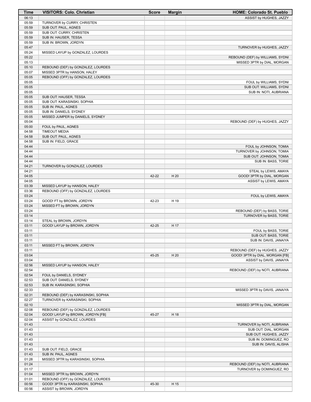| Time  | <b>VISITORS: Colo. Christian</b>    | <b>Score</b> | <b>Margin</b> | <b>HOME: Colorado St. Pueblo</b> |
|-------|-------------------------------------|--------------|---------------|----------------------------------|
| 06:13 |                                     |              |               | ASSIST by HUGHES, JAZZY          |
| 05:59 | TURNOVER by CURRY, CHRISTEN         |              |               |                                  |
| 05:59 | SUB OUT: PAUL, AGNES                |              |               |                                  |
| 05:59 | SUB OUT: CURRY, CHRISTEN            |              |               |                                  |
| 05:59 | SUB IN: HAUSER, TESSA               |              |               |                                  |
| 05:59 | SUB IN: BROWN, JORDYN               |              |               |                                  |
| 05:47 |                                     |              |               | TURNOVER by HUGHES, JAZZY        |
| 05:24 | MISSED LAYUP by GONZALEZ, LOURDES   |              |               |                                  |
| 05:22 |                                     |              |               | REBOUND (DEF) by WILLIAMS, SYDNI |
| 05:13 |                                     |              |               | MISSED 3PTR by DIAL, MORGAN      |
| 05:10 | REBOUND (DEF) by GONZALEZ, LOURDES  |              |               |                                  |
| 05:07 | MISSED 3PTR by HANSON, HALEY        |              |               |                                  |
| 05:05 | REBOUND (OFF) by GONZALEZ, LOURDES  |              |               |                                  |
| 05:05 |                                     |              |               | FOUL by WILLIAMS, SYDNI          |
| 05:05 |                                     |              |               | SUB OUT: WILLIAMS, SYDNI         |
| 05:05 |                                     |              |               | SUB IN: NOTI, AUBRIANA           |
| 05:05 | SUB OUT: HAUSER, TESSA              |              |               |                                  |
| 05:05 | SUB OUT: KARASINSKI, SOPHIA         |              |               |                                  |
| 05:05 | SUB IN: PAUL, AGNES                 |              |               |                                  |
| 05:05 | SUB IN: DANIELS, SYDNEY             |              |               |                                  |
| 05:05 | MISSED JUMPER by DANIELS, SYDNEY    |              |               |                                  |
| 05:04 |                                     |              |               | REBOUND (DEF) by HUGHES, JAZZY   |
| 05:00 | FOUL by PAUL, AGNES                 |              |               |                                  |
| 04:58 | <b>TIMEOUT MEDIA</b>                |              |               |                                  |
| 04:58 | SUB OUT: PAUL, AGNES                |              |               |                                  |
| 04:58 | SUB IN: FIELD, GRACE                |              |               |                                  |
| 04:44 |                                     |              |               | FOUL by JOHNSON, TOMIA           |
| 04:44 |                                     |              |               | TURNOVER by JOHNSON, TOMIA       |
| 04:44 |                                     |              |               | SUB OUT: JOHNSON, TOMIA          |
| 04:44 |                                     |              |               | SUB IN: BASS, TORIE              |
| 04:21 | TURNOVER by GONZALEZ, LOURDES       |              |               |                                  |
| 04:21 |                                     |              |               | STEAL by LEWIS, AMAYA            |
| 04:05 |                                     | 42-22        | H 20          | GOOD! 3PTR by DIAL, MORGAN       |
| 04:05 |                                     |              |               | ASSIST by LEWIS, AMAYA           |
| 03:39 | MISSED LAYUP by HANSON, HALEY       |              |               |                                  |
| 03:36 | REBOUND (OFF) by GONZALEZ, LOURDES  |              |               |                                  |
| 03:24 |                                     |              |               | FOUL by LEWIS, AMAYA             |
| 03:24 | GOOD! FT by BROWN, JORDYN           | 42-23        | H 19          |                                  |
| 03:24 | MISSED FT by BROWN, JORDYN          |              |               |                                  |
| 03:24 |                                     |              |               | REBOUND (DEF) by BASS, TORIE     |
| 03:14 |                                     |              |               | TURNOVER by BASS, TORIE          |
| 03:14 | STEAL by BROWN, JORDYN              |              |               |                                  |
| 03:11 | GOOD! LAYUP by BROWN, JORDYN        | 42-25        | H 17          |                                  |
| 03:11 |                                     |              |               |                                  |
|       |                                     |              |               | FOUL by BASS, TORIE              |
| 03:11 |                                     |              |               | SUB OUT: BASS, TORIE             |
| 03:11 |                                     |              |               | SUB IN: DAVIS, JANAIYA           |
| 03:11 | MISSED FT by BROWN, JORDYN          |              |               |                                  |
| 03:11 |                                     |              |               | REBOUND (DEF) by HUGHES, JAZZY   |
| 03:04 |                                     | 45-25        | H 20          | GOOD! 3PTR by DIAL, MORGAN [FB]  |
| 03:04 |                                     |              |               | ASSIST by DAVIS, JANAIYA         |
| 02:56 | MISSED LAYUP by HANSON, HALEY       |              |               |                                  |
| 02:54 |                                     |              |               | REBOUND (DEF) by NOTI, AUBRIANA  |
| 02:54 | FOUL by DANIELS, SYDNEY             |              |               |                                  |
| 02:53 | SUB OUT: DANIELS, SYDNEY            |              |               |                                  |
| 02:53 | SUB IN: KARASINSKI, SOPHIA          |              |               |                                  |
| 02:33 |                                     |              |               | MISSED 3PTR by DAVIS, JANAIYA    |
| 02:31 | REBOUND (DEF) by KARASINSKI, SOPHIA |              |               |                                  |
| 02:27 | TURNOVER by KARASINSKI, SOPHIA      |              |               |                                  |
| 02:10 |                                     |              |               | MISSED 3PTR by DIAL, MORGAN      |
| 02:08 | REBOUND (DEF) by GONZALEZ, LOURDES  |              |               |                                  |
| 02:04 | GOOD! LAYUP by BROWN, JORDYN [FB]   | 45-27        | H 18          |                                  |
| 02:04 | ASSIST by GONZALEZ, LOURDES         |              |               |                                  |
| 01:43 |                                     |              |               | TURNOVER by NOTI, AUBRIANA       |
| 01:43 |                                     |              |               | SUB OUT: DIAL, MORGAN            |
| 01:43 |                                     |              |               | SUB OUT: HUGHES, JAZZY           |
| 01:43 |                                     |              |               | SUB IN: DOMINGUEZ, RO            |
| 01:43 |                                     |              |               | SUB IN: DAVIS, ALISHA            |
| 01:43 | SUB OUT: FIELD, GRACE               |              |               |                                  |
| 01:43 | SUB IN: PAUL, AGNES                 |              |               |                                  |
| 01:28 | MISSED 3PTR by KARASINSKI, SOPHIA   |              |               |                                  |
| 01:24 |                                     |              |               | REBOUND (DEF) by NOTI, AUBRIANA  |
| 01:17 |                                     |              |               | TURNOVER by DOMINGUEZ, RO        |
| 01:04 | MISSED 3PTR by BROWN, JORDYN        |              |               |                                  |
| 01:01 | REBOUND (OFF) by GONZALEZ, LOURDES  |              |               |                                  |
| 00:56 | GOOD! 3PTR by KARASINSKI, SOPHIA    | 45-30        | H 15          |                                  |
| 00:56 | ASSIST by BROWN, JORDYN             |              |               |                                  |
|       |                                     |              |               |                                  |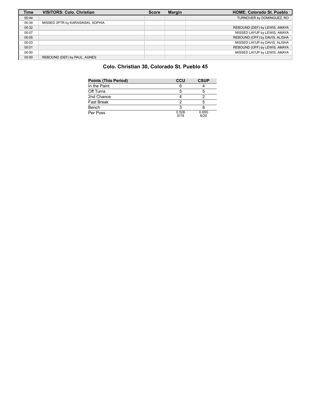| <b>Time</b> | <b>VISITORS: Colo. Christian</b>  | <b>Score</b> | Margin | <b>HOME: Colorado St. Pueblo</b> |
|-------------|-----------------------------------|--------------|--------|----------------------------------|
| 00:44       |                                   |              |        | TURNOVER by DOMINGUEZ, RO        |
| 00:34       | MISSED 3PTR by KARASINSKI, SOPHIA |              |        |                                  |
| 00:32       |                                   |              |        | REBOUND (DEF) by LEWIS, AMAYA    |
| 00:07       |                                   |              |        | MISSED LAYUP by LEWIS, AMAYA     |
| 00:05       |                                   |              |        | REBOUND (OFF) by DAVIS, ALISHA   |
| 00:03       |                                   |              |        | MISSED LAYUP by DAVIS, ALISHA    |
| 00:01       |                                   |              |        | REBOUND (OFF) by LEWIS, AMAYA    |
| 00:00       |                                   |              |        | MISSED LAYUP by LEWIS, AMAYA     |
| 00:00       | REBOUND (DEF) by PAUL, AGNES      |              |        |                                  |

## **Colo. Christian 30, Colorado St. Pueblo 45**

| <b>Points (This Period)</b> | CCU           | <b>CSUP</b>   |
|-----------------------------|---------------|---------------|
| In the Paint                | 6             |               |
| Off Turns                   | 5             | 5             |
| 2nd Chance                  |               |               |
| <b>Fast Break</b>           |               |               |
| Bench                       | 2             |               |
| Per Poss                    | 0.526<br>5/19 | 0.650<br>6/20 |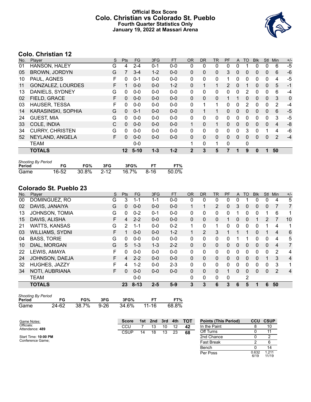### **Official Box Score Colo. Christian vs Colorado St. Pueblo Fourth Quarter Statistics Only January 19, 2022 at Massari Arena**



# **Colo. Christian 12**

| No. | Player                   | S  | <b>Pts</b> | <b>FG</b> | 3FG     | <b>FT</b> | <b>OR</b>    | <b>DR</b> | TR           | <b>PF</b>     | A            | TO       | <b>Blk</b> | Stl      | Min            | $+/-$ |
|-----|--------------------------|----|------------|-----------|---------|-----------|--------------|-----------|--------------|---------------|--------------|----------|------------|----------|----------------|-------|
| 01  | HANSON, HALEY            | G  | 4          | $2 - 4$   | $0 - 1$ | $0 - 0$   | 0            | 0         | 0            | 0             | 0            |          | 0          | 0        | 6              | $-5$  |
| 05  | <b>BROWN, JORDYN</b>     | G  |            | $3 - 4$   | $1 - 2$ | $0 - 0$   | 0            | 0         | 0            | 3             | 0            | 0        | 0          | 0        | 6              | $-6$  |
| 10  | PAUL, AGNES              | F  | 0          | $0 - 1$   | $0 - 0$ | $0 - 0$   | 0            | 0         | 0            | 1             | 0            | 0        | 0          | $\Omega$ | 4              | $-5$  |
| 11  | <b>GONZALEZ, LOURDES</b> | F. |            | $0 - 0$   | $0 - 0$ | $1 - 2$   | $\Omega$     |           | 1            | $\mathcal{P}$ | $\mathbf{0}$ |          | $\Omega$   | 0        | 5              | $-1$  |
| 13  | DANIELS, SYDNEY          | G  | $\Omega$   | $0 - 0$   | $0 - 0$ | $0 - 0$   | 0            | 0         | $\mathbf{0}$ | 0             | $\Omega$     | 2        | 0          | $\Omega$ | 6              | $-4$  |
| 02  | FIELD, GRACE             | F  | 0          | $0 - 0$   | $0 - 0$ | $0 - 0$   | $\Omega$     | $\Omega$  | $\Omega$     |               |              | 0        | 0          | $\Omega$ | 3              | 0     |
| 03  | <b>HAUSER, TESSA</b>     | F  | $\Omega$   | $0 - 0$   | $0 - 0$ | $0 - 0$   | 0            | 1         | 1            | $\Omega$      | $\Omega$     | 2        | 0          | 0        | 2              | $-4$  |
| 14  | KARASINSKI, SOPHIA       | G  | $\Omega$   | $0 - 1$   | $0 - 0$ | $0 - 0$   | $\mathbf{0}$ |           | 1.           | $\Omega$      | $\Omega$     | $\Omega$ | $\Omega$   | $\Omega$ | 6              | $-5$  |
| 24  | <b>GUEST, MIA</b>        | G  | $\Omega$   | $0 - 0$   | $0 - 0$ | $0 - 0$   | 0            | $\Omega$  | 0            | 0             | $\Omega$     | 0        | 0          | 0        | 3              | $-5$  |
| 33  | COLE, INDIA              | C  | $\Omega$   | $0 - 0$   | $0 - 0$ | $0 - 0$   | $\mathbf{1}$ | $\Omega$  | $\mathbf{1}$ | $\Omega$      | $\mathbf{0}$ | $\Omega$ | $\Omega$   | $\Omega$ | 4              | -8    |
| 34  | <b>CURRY, CHRISTEN</b>   | G  | $\Omega$   | $0 - 0$   | $0 - 0$ | $0 - 0$   | 0            | $\Omega$  | 0            | 0             | $\Omega$     | 3        | 0          |          | 4              | -6    |
| 52  | NEYLAND, ANGELA          | F  | 0          | $0 - 0$   | $0 - 0$ | $0 - 0$   | $\mathbf{0}$ | $\Omega$  | 0            | $\Omega$      | $\Omega$     | $\Omega$ | 0          | 0        | $\overline{2}$ | $-4$  |
|     | <b>TEAM</b>              |    |            | $0 - 0$   |         |           | 1            | 0         | 1            | 0             |              | 0        |            |          |                |       |
|     | <b>TOTALS</b>            |    | $12 \,$    | $5 - 10$  | $1 - 3$ | $1 - 2$   | $\mathbf 2$  | 3         | 5            | 7             |              | 9        | 0          |          | 50             |       |

| <b>Shooting By Period</b> |       |            |     |       |      |       |
|---------------------------|-------|------------|-----|-------|------|-------|
| Period                    | FG    | FG%        | 3FG | 3FG%  |      | FT%   |
| Game                      | 16-52 | 30.8% 2-12 |     | 16.7% | 8-16 | 50.0% |

# **Colorado St. Pueblo 23**

| No. | Player                 | S  | Pts           | <b>FG</b> | 3FG     | <b>FT</b> | <b>OR</b> | <b>DR</b>      | <b>TR</b>      | PF | A        | <b>TO</b>    | <b>Blk</b> | Stl          | Min            | $+/-$          |
|-----|------------------------|----|---------------|-----------|---------|-----------|-----------|----------------|----------------|----|----------|--------------|------------|--------------|----------------|----------------|
| 00  | DOMINGUEZ, RO          | G  | 3             | $1 - 1$   | 1-1     | $0-0$     | 0         | 0              | 0              | 0  | 0        |              | 0          | 0            | 4              | 5              |
| 02  | DAVIS, JANAIYA         | G  | $\mathbf{0}$  | $0 - 0$   | $0 - 0$ | $0 - 0$   |           | 1              | $\overline{2}$ | 0  | 3        | 0            | 0          | $\mathbf 0$  |                | 7              |
| 13  | <b>JOHNSON, TOMIA</b>  | G  | 0             | $0 - 2$   | $0 - 1$ | $0-0$     | 0         | 0              | $\mathbf{0}$   | 0  |          | 0            | 0          |              | 6              | 1              |
| 15  | DAVIS, ALISHA          | F  | 4             | $2 - 2$   | $0 - 0$ | $0 - 0$   | 0         | 0              | 0              |    | 0        | 0            |            | 2            |                | 10             |
| 21  | <b>WATTS, KANSAS</b>   | G  | $\mathcal{P}$ | $1 - 1$   | $0 - 0$ | $0 - 2$   | 1         | 0              | 1              | 0  | 0        | $\Omega$     | 0          |              | 4              | 1              |
| 03  | <b>WILLIAMS, SYDNI</b> | F  |               | $0 - 0$   | $0 - 0$ | $1 - 2$   |           | $\overline{2}$ | 3              |    |          |              | $\Omega$   |              | $\overline{4}$ | 6              |
| 04  | <b>BASS, TORIE</b>     | G  | $\Omega$      | $0 - 0$   | $0 - 0$ | $0 - 0$   | 0         | $\Omega$       | $\mathbf{0}$   | 0  | 1        |              | 0          | 0            | 4              | 5              |
| 10  | DIAL, MORGAN           | G  | 5             | $1 - 3$   | $1 - 3$ | $2 - 2$   | 0         | 0              | $\mathbf{0}$   | 0  | $\Omega$ | $\Omega$     | $\Omega$   | $\mathbf{0}$ | 4              | $\overline{7}$ |
| 22  | LEWIS, AMAYA           | F. | $\Omega$      | $0 - 0$   | $0 - 0$ | $0 - 0$   | 0         | $\Omega$       | $\mathbf{0}$   | 0  | 0        | 0            | 0          | 0            | 2              | 4              |
| 24  | JOHNSON, DAEJA         | F  | 4             | $2 - 2$   | $0 - 0$ | $0 - 0$   | $\Omega$  | 0              | $\Omega$       | 0  | $\Omega$ | $\Omega$     | 0          |              | 3              | $\overline{4}$ |
| 32  | <b>HUGHES, JAZZY</b>   | F  | 4             | $1 - 2$   | $0 - 0$ | $2 - 3$   | 0         | 0              | $\mathbf{0}$   | 0  | 0        | $\Omega$     | 0          | 0            | 3              | 1              |
| 34  | NOTI, AUBRIANA         | F  | $\Omega$      | $0 - 0$   | $0 - 0$ | $0 - 0$   | 0         | 0              | $\Omega$       | 1  | 0        | $\mathbf{0}$ | $\Omega$   | $\mathbf{0}$ | $\overline{2}$ | 4              |
|     | <b>TEAM</b>            |    |               | $0 - 0$   |         |           | 0         | 0              | $\mathbf{0}$   | 0  |          | 2            |            |              |                |                |
|     | <b>TOTALS</b>          |    | 23            | $8 - 13$  | $2 - 5$ | $5-9$     | 3         | 3              | 6              | 3  | 6        | 5            | 1          | 6            | 50             |                |

| <b>Shooting By Period</b> |       |       |      |       |       |       |  |  |  |  |  |  |
|---------------------------|-------|-------|------|-------|-------|-------|--|--|--|--|--|--|
| Period                    | FG    | FG%   | 3FG  | 3FG%  | FТ    | FT%   |  |  |  |  |  |  |
| Game                      | 24-62 | 38.7% | 9-26 | 34.6% | 11-16 | 68.8% |  |  |  |  |  |  |

| Game Notes:                   | <b>Score</b> | 1st l | 2nd | 3rd | 4th | <b>- тот</b> | <b>Points (This Period)</b> | <b>CCU</b>    | <b>CSUP</b>    |
|-------------------------------|--------------|-------|-----|-----|-----|--------------|-----------------------------|---------------|----------------|
| Officials:<br>Attendance: 489 | CCU          |       | 13  | 10  | 12  | 42           | In the Paint                |               | 10             |
|                               | <b>CSUP</b>  | 14    | 18  | 13  | 23  | 68           | Off Turns                   |               | 11             |
| Start Time: 10:00 PM          |              |       |     |     |     |              | 2nd Chance                  |               |                |
| Conference Game:              |              |       |     |     |     |              | <b>Fast Break</b>           |               |                |
|                               |              |       |     |     |     |              | Bench                       |               | 14             |
|                               |              |       |     |     |     |              | Per Poss                    | 0.632<br>6/19 | 1.211<br>11/19 |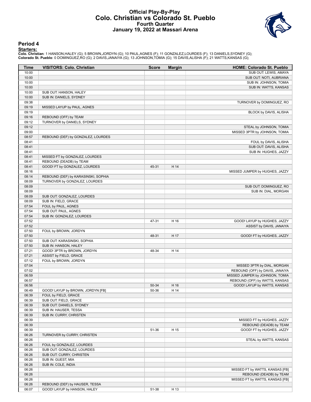#### **Official Play-By-Play Colo. Christian vs Colorado St. Pueblo Fourth Quarter January 19, 2022 at Massari Arena**



#### **Period 4**

<mark>Starters:</mark><br>Colo. Christian: 1 HANSON,HALEY (G); 5 BROWN,JORDYN (G); 10 PAUL,AGNES (F); 11 GONZALEZ,LOURDES (F); 13 DANIELS,SYDNEY (G);<br>Colorado St. Pueblo: 0 DOMINGUEZ,RO (G); 2 DAVIS,JANAIYA (G); 13 JOHNSON,TOMIA (G); 15

| Time           | <b>VISITORS: Colo. Christian</b>              | <b>Score</b>   | <b>Margin</b> | <b>HOME: Colorado St. Pueblo</b>                                   |
|----------------|-----------------------------------------------|----------------|---------------|--------------------------------------------------------------------|
| 10:00          |                                               |                |               | SUB OUT: LEWIS, AMAYA                                              |
| 10:00          |                                               |                |               | SUB OUT: NOTI, AUBRIANA                                            |
| 10:00          |                                               |                |               | SUB IN: JOHNSON, TOMIA                                             |
| 10:00          |                                               |                |               | SUB IN: WATTS, KANSAS                                              |
| 10:00          | SUB OUT: HANSON, HALEY                        |                |               |                                                                    |
| 10:00          | SUB IN: DANIELS, SYDNEY                       |                |               |                                                                    |
| 09:38          |                                               |                |               | TURNOVER by DOMINGUEZ, RO                                          |
| 09:19          | MISSED LAYUP by PAUL, AGNES                   |                |               |                                                                    |
| 09:19          |                                               |                |               | BLOCK by DAVIS, ALISHA                                             |
| 09:16          | REBOUND (OFF) by TEAM                         |                |               |                                                                    |
| 09:12          | TURNOVER by DANIELS, SYDNEY                   |                |               |                                                                    |
| 09:12          |                                               |                |               | STEAL by JOHNSON, TOMIA                                            |
| 09:00          |                                               |                |               | MISSED 3PTR by JOHNSON, TOMIA                                      |
| 08:57          | REBOUND (DEF) by GONZALEZ, LOURDES            |                |               |                                                                    |
| 08:41          |                                               |                |               | FOUL by DAVIS, ALISHA                                              |
| 08:41          |                                               |                |               | SUB OUT: DAVIS, ALISHA                                             |
| 08:41          |                                               |                |               | SUB IN: HUGHES, JAZZY                                              |
| 08:41          | MISSED FT by GONZALEZ, LOURDES                |                |               |                                                                    |
| 08:41          | REBOUND (DEADB) by TEAM                       |                |               |                                                                    |
| 08:41          | GOOD! FT by GONZALEZ, LOURDES                 | 45-31          | H 14          |                                                                    |
| 08:16          |                                               |                |               | MISSED JUMPER by HUGHES, JAZZY                                     |
| 08:14          | REBOUND (DEF) by KARASINSKI, SOPHIA           |                |               |                                                                    |
| 08:09          | TURNOVER by GONZALEZ, LOURDES                 |                |               |                                                                    |
| 08:09          |                                               |                |               | SUB OUT: DOMINGUEZ, RO                                             |
| 08:09          |                                               |                |               | SUB IN: DIAL, MORGAN                                               |
| 08:09          | SUB OUT: GONZALEZ, LOURDES                    |                |               |                                                                    |
| 08:09          | SUB IN: FIELD, GRACE                          |                |               |                                                                    |
| 07:54          | FOUL by PAUL, AGNES                           |                |               |                                                                    |
| 07:54          | SUB OUT: PAUL, AGNES                          |                |               |                                                                    |
| 07:54          | SUB IN: GONZALEZ, LOURDES                     |                |               |                                                                    |
| 07:52          |                                               | 47-31          | H 16          | GOOD! LAYUP by HUGHES, JAZZY                                       |
| 07:52          |                                               |                |               | ASSIST by DAVIS, JANAIYA                                           |
| 07:50          | FOUL by BROWN, JORDYN                         |                |               |                                                                    |
| 07:50          |                                               | 48-31          | H 17          | GOOD! FT by HUGHES, JAZZY                                          |
| 07:50          | SUB OUT: KARASINSKI, SOPHIA                   |                |               |                                                                    |
| 07:50          | SUB IN: HANSON, HALEY                         |                |               |                                                                    |
| 07:21          | GOOD! 3PTR by BROWN, JORDYN                   | 48-34          | H 14          |                                                                    |
| 07:21<br>07:12 | ASSIST by FIELD, GRACE                        |                |               |                                                                    |
| 07:04          | FOUL by BROWN, JORDYN                         |                |               |                                                                    |
| 07:02          |                                               |                |               | MISSED 3PTR by DIAL, MORGAN                                        |
|                |                                               |                |               | REBOUND (OFF) by DAVIS, JANAIYA<br>MISSED JUMPER by JOHNSON, TOMIA |
| 06:59          |                                               |                |               | REBOUND (OFF) by WATTS, KANSAS                                     |
| 06:57          |                                               |                |               | GOOD! LAYUP by WATTS, KANSAS                                       |
| 06:56<br>06:49 | GOOD! LAYUP by BROWN, JORDYN [FB]             | 50-34<br>50-36 | H 16<br>H 14  |                                                                    |
|                |                                               |                |               |                                                                    |
| 06:39<br>06:39 | FOUL by FIELD, GRACE<br>SUB OUT: FIELD, GRACE |                |               |                                                                    |
| 06:39          | SUB OUT: DANIELS, SYDNEY                      |                |               |                                                                    |
| 06:39          | SUB IN: HAUSER, TESSA                         |                |               |                                                                    |
| 06:39          | SUB IN: CURRY, CHRISTEN                       |                |               |                                                                    |
| 06:39          |                                               |                |               | MISSED FT by HUGHES, JAZZY                                         |
| 06:39          |                                               |                |               | REBOUND (DEADB) by TEAM                                            |
| 06:39          |                                               | 51-36          | H 15          | GOOD! FT by HUGHES, JAZZY                                          |
| 06:26          | TURNOVER by CURRY, CHRISTEN                   |                |               |                                                                    |
| 06:26          |                                               |                |               | STEAL by WATTS, KANSAS                                             |
| 06:26          | FOUL by GONZALEZ, LOURDES                     |                |               |                                                                    |
| 06:26          | SUB OUT: GONZALEZ, LOURDES                    |                |               |                                                                    |
| 06:26          | SUB OUT: CURRY, CHRISTEN                      |                |               |                                                                    |
| 06:26          | SUB IN: GUEST, MIA                            |                |               |                                                                    |
|                |                                               |                |               |                                                                    |
| 06:26<br>06:26 | SUB IN: COLE, INDIA                           |                |               |                                                                    |
| 06:26          |                                               |                |               | MISSED FT by WATTS, KANSAS [FB]<br>REBOUND (DEADB) by TEAM         |
| 06:26          |                                               |                |               | MISSED FT by WATTS, KANSAS [FB]                                    |
| 06:26          | REBOUND (DEF) by HAUSER, TESSA                |                |               |                                                                    |
| 06:07          | GOOD! LAYUP by HANSON, HALEY                  | 51-38          | H 13          |                                                                    |
|                |                                               |                |               |                                                                    |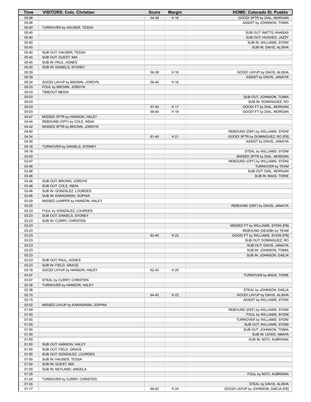| <b>Time</b>    | <b>VISITORS: Colo. Christian</b>                             | <b>Score</b> | <b>Margin</b> | HOME: Colorado St. Pueblo                                       |
|----------------|--------------------------------------------------------------|--------------|---------------|-----------------------------------------------------------------|
| 05:58          |                                                              | 54-38        | H 16          | GOOD! 3PTR by DIAL, MORGAN                                      |
| 05:58          |                                                              |              |               | ASSIST by JOHNSON, TOMIA                                        |
| 05:40          | TURNOVER by HAUSER, TESSA                                    |              |               |                                                                 |
| 05:40<br>05:40 |                                                              |              |               | SUB OUT: WATTS, KANSAS<br>SUB OUT: HUGHES, JAZZY                |
| 05:40          |                                                              |              |               | SUB IN: WILLIAMS, SYDNI                                         |
| 05:40          |                                                              |              |               | SUB IN: DAVIS, ALISHA                                           |
| 05:40          | SUB OUT: HAUSER, TESSA                                       |              |               |                                                                 |
| 05:40          | SUB OUT: GUEST, MIA                                          |              |               |                                                                 |
| 05:40          | SUB IN: PAUL, AGNES                                          |              |               |                                                                 |
| 05:40          | SUB IN: DANIELS, SYDNEY                                      |              |               |                                                                 |
| 05:39<br>05:39 |                                                              | 56-38        | H 18          | GOOD! LAYUP by DAVIS, ALISHA<br>ASSIST by DAVIS, JANAIYA        |
| 05:24          | GOOD! LAYUP by BROWN, JORDYN                                 | 56-40        | H 16          |                                                                 |
| 05:03          | FOUL by BROWN, JORDYN                                        |              |               |                                                                 |
| 05:03          | <b>TIMEOUT MEDIA</b>                                         |              |               |                                                                 |
| 05:03          |                                                              |              |               | SUB OUT: JOHNSON, TOMIA                                         |
| 05:03          |                                                              |              |               | SUB IN: DOMINGUEZ, RO                                           |
| 05:03          |                                                              | 57-40        | H 17          | GOOD! FT by DIAL, MORGAN                                        |
| 05:03<br>04:47 |                                                              | 58-40        | H 18          | GOOD! FT by DIAL, MORGAN                                        |
| 04:44          | MISSED 3PTR by HANSON, HALEY<br>REBOUND (OFF) by COLE, INDIA |              |               |                                                                 |
| 04:42          | MISSED 3PTR by BROWN, JORDYN                                 |              |               |                                                                 |
| 04:40          |                                                              |              |               | REBOUND (DEF) by WILLIAMS, SYDNI                                |
| 04:34          |                                                              | 61-40        | H 21          | GOOD! 3PTR by DOMINGUEZ, RO [FB]                                |
| 04:34          |                                                              |              |               | ASSIST by DAVIS, JANAIYA                                        |
| 04:18          | TURNOVER by DANIELS, SYDNEY                                  |              |               |                                                                 |
| 04:18          |                                                              |              |               | STEAL by WILLIAMS, SYDNI                                        |
| 03:50<br>03:47 |                                                              |              |               | MISSED 3PTR by DIAL, MORGAN<br>REBOUND (OFF) by WILLIAMS, SYDNI |
| 03:46          |                                                              |              |               | TURNOVER by TEAM                                                |
| 03:46          |                                                              |              |               | SUB OUT: DIAL, MORGAN                                           |
| 03:46          |                                                              |              |               | SUB IN: BASS, TORIE                                             |
| 03:46          | SUB OUT: BROWN, JORDYN                                       |              |               |                                                                 |
| 03:46          | SUB OUT: COLE, INDIA                                         |              |               |                                                                 |
| 03:46          | SUB IN: GONZALEZ, LOURDES                                    |              |               |                                                                 |
| 03:46          | SUB IN: KARASINSKI, SOPHIA                                   |              |               |                                                                 |
| 03:29<br>03:25 | MISSED JUMPER by HANSON, HALEY                               |              |               | REBOUND (DEF) by DAVIS, JANAIYA                                 |
| 03:23          | FOUL by GONZALEZ, LOURDES                                    |              |               |                                                                 |
| 03:23          | SUB OUT: DANIELS, SYDNEY                                     |              |               |                                                                 |
| 03:23          | SUB IN: CURRY, CHRISTEN                                      |              |               |                                                                 |
| 03:23          |                                                              |              |               | MISSED FT by WILLIAMS, SYDNI [FB]                               |
| 03:23          |                                                              |              |               | REBOUND (DEADB) by TEAM                                         |
| 03:23          |                                                              | 62-40        | H 22          | GOOD! FT by WILLIAMS, SYDNI [FB]<br>SUB OUT: DOMINGUEZ, RO      |
| 03:23<br>03:23 |                                                              |              |               | SUB OUT: DAVIS, JANAIYA                                         |
| 03:23          |                                                              |              |               | SUB IN: JOHNSON, TOMIA                                          |
| 03:23          |                                                              |              |               | SUB IN: JOHNSON, DAEJA                                          |
| 03:23          | SUB OUT: PAUL, AGNES                                         |              |               |                                                                 |
| 03:23          | SUB IN: FIELD, GRACE                                         |              |               |                                                                 |
| 03:16          | GOOD! LAYUP by HANSON, HALEY                                 | 62-42        | H 20          |                                                                 |
| 03:07          |                                                              |              |               | TURNOVER by BASS, TORIE                                         |
| 03:07<br>02:38 | STEAL by CURRY, CHRISTEN<br>TURNOVER by HANSON, HALEY        |              |               |                                                                 |
| 02:38          |                                                              |              |               | STEAL by JOHNSON, DAEJA                                         |
| 02:15          |                                                              | 64-42        | H 22          | GOOD! LAYUP by DAVIS, ALISHA                                    |
| 02:15          |                                                              |              |               | ASSIST by WILLIAMS, SYDNI                                       |
| 02:02          | MISSED LAYUP by KARASINSKI, SOPHIA                           |              |               |                                                                 |
| 01:59          |                                                              |              |               | REBOUND (DEF) by WILLIAMS, SYDNI                                |
| 01:50          |                                                              |              |               | FOUL by WILLIAMS, SYDNI                                         |
| 01:50          |                                                              |              |               | TURNOVER by WILLIAMS, SYDNI                                     |
| 01:50<br>01:50 |                                                              |              |               | SUB OUT: WILLIAMS, SYDNI<br>SUB OUT: JOHNSON, TOMIA             |
| 01:50          |                                                              |              |               | SUB IN: LEWIS, AMAYA                                            |
| 01:50          |                                                              |              |               | SUB IN: NOTI, AUBRIANA                                          |
| 01:50          | SUB OUT: HANSON, HALEY                                       |              |               |                                                                 |
| 01:50          | SUB OUT: FIELD, GRACE                                        |              |               |                                                                 |
| 01:50          | SUB OUT: GONZALEZ, LOURDES                                   |              |               |                                                                 |
| 01:50          | SUB IN: HAUSER, TESSA                                        |              |               |                                                                 |
| 01:50          | SUB IN: GUEST, MIA                                           |              |               |                                                                 |
| 01:50<br>01:25 | SUB IN: NEYLAND, ANGELA                                      |              |               | FOUL by NOTI, AUBRIANA                                          |
| 01:24          | TURNOVER by CURRY, CHRISTEN                                  |              |               |                                                                 |
| 01:24          |                                                              |              |               | STEAL by DAVIS, ALISHA                                          |
| 01:17          |                                                              | 66-42        | H 24          | GOOD! LAYUP by JOHNSON, DAEJA [FB]                              |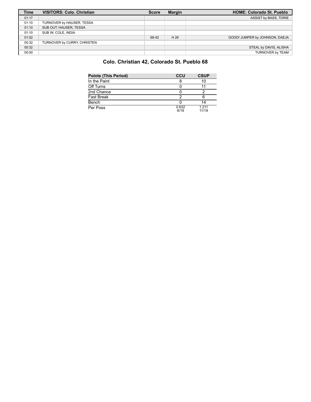| <b>Time</b> | <b>VISITORS: Colo. Christian</b> | <b>Score</b> | <b>Margin</b> | <b>HOME: Colorado St. Pueblo</b> |
|-------------|----------------------------------|--------------|---------------|----------------------------------|
| 01:17       |                                  |              |               | ASSIST by BASS, TORIE            |
| 01:10       | TURNOVER by HAUSER, TESSA        |              |               |                                  |
| 01:10       | SUB OUT: HAUSER, TESSA           |              |               |                                  |
| 01:10       | SUB IN: COLE, INDIA              |              |               |                                  |
| 01:02       |                                  | 68-42        | H 26          | GOOD! JUMPER by JOHNSON, DAEJA   |
| 00:32       | TURNOVER by CURRY, CHRISTEN      |              |               |                                  |
| 00:32       |                                  |              |               | STEAL by DAVIS, ALISHA           |
| 00:00       |                                  |              |               | TURNOVER by TEAM                 |

# **Colo. Christian 42, Colorado St. Pueblo 68**

| <b>Points (This Period)</b> | <b>CCU</b>    | <b>CSUP</b>    |
|-----------------------------|---------------|----------------|
| In the Paint                |               | 10             |
| Off Turns                   |               |                |
| 2nd Chance                  |               |                |
| Fast Break                  |               |                |
| Bench                       |               | 14             |
| Per Poss                    | 0.632<br>6/19 | 1 211<br>11/19 |
|                             |               |                |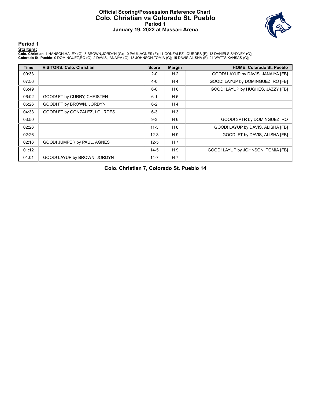#### **Official Scoring/Possession Reference Chart Colo. Christian vs Colorado St. Pueblo Period 1 January 19, 2022 at Massari Arena**



**Period 1**

<mark>Starters:</mark><br>Colo. Christian: 1 HANSON,HALEY (G); 5 BROWN,JORDYN (G); 10 PAUL,AGNES (F); 11 GONZALEZ,LOURDES (F); 13 DANIELS,SYDNEY (G);<br>Colorado St. Pueblo: 0 DOMINGUEZ,RO (G); 2 DAVIS,JANAIYA (G); 13 JOHNSON,TOMIA (G); 15

| Time  | <b>VISITORS: Colo. Christian</b> | <b>Score</b> | <b>Margin</b>  | <b>HOME: Colorado St. Pueblo</b>   |
|-------|----------------------------------|--------------|----------------|------------------------------------|
| 09:33 |                                  | $2 - 0$      | H <sub>2</sub> | GOOD! LAYUP by DAVIS, JANAIYA [FB] |
| 07:56 |                                  | $4-0$        | H <sub>4</sub> | GOOD! LAYUP by DOMINGUEZ, RO [FB]  |
| 06:49 |                                  | $6-0$        | H 6            | GOOD! LAYUP by HUGHES, JAZZY [FB]  |
| 06:02 | GOOD! FT by CURRY, CHRISTEN      | $6 - 1$      | H <sub>5</sub> |                                    |
| 05:26 | GOOD! FT by BROWN, JORDYN        | $6 - 2$      | H4             |                                    |
| 04:33 | GOOD! FT by GONZALEZ, LOURDES    | $6 - 3$      | $H_3$          |                                    |
| 03:50 |                                  | $9 - 3$      | H <sub>6</sub> | GOOD! 3PTR by DOMINGUEZ, RO        |
| 02:26 |                                  | $11 - 3$     | H 8            | GOOD! LAYUP by DAVIS, ALISHA [FB]  |
| 02:26 |                                  | $12 - 3$     | H9             | GOOD! FT by DAVIS, ALISHA [FB]     |
| 02:16 | GOOD! JUMPER by PAUL, AGNES      | $12 - 5$     | H <sub>7</sub> |                                    |
| 01:12 |                                  | $14 - 5$     | H9             | GOOD! LAYUP by JOHNSON, TOMIA [FB] |
| 01:01 | GOOD! LAYUP by BROWN, JORDYN     | $14 - 7$     | H <sub>7</sub> |                                    |

**Colo. Christian 7, Colorado St. Pueblo 14**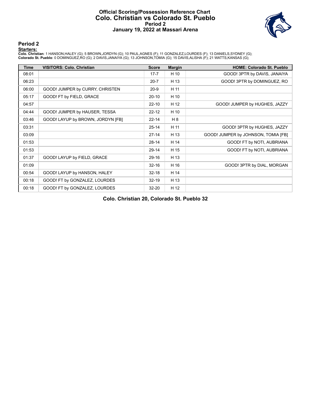#### **Official Scoring/Possession Reference Chart Colo. Christian vs Colorado St. Pueblo Period 2 January 19, 2022 at Massari Arena**



#### **Period 2**

#### **Starters:**

Colo. Christian: 1 HANSON,HALEY (G); 5 BROWN,JORDYN (G); 10 PAUL,AGNES (F); 11 GONZALEZ,LOURDES (F); 13 DANIELS,SYDNEY (G);<br>Colorado St. Pueblo: 0 DOMINGUEZ,RO (G); 2 DAVIS,JANAIYA (G); 13 JOHNSON,TOMIA (G); 15 DAVIS,ALISH

| <b>Time</b> | <b>VISITORS: Colo. Christian</b>  | <b>Score</b> | <b>Margin</b> | <b>HOME: Colorado St. Pueblo</b>    |
|-------------|-----------------------------------|--------------|---------------|-------------------------------------|
| 08:01       |                                   | $17 - 7$     | H 10          | GOOD! 3PTR by DAVIS, JANAIYA        |
| 06:23       |                                   | $20 - 7$     | H 13          | GOOD! 3PTR by DOMINGUEZ, RO         |
| 06:00       | GOOD! JUMPER by CURRY, CHRISTEN   | $20-9$       | H 11          |                                     |
| 05:17       | GOOD! FT by FIELD, GRACE          | $20-10$      | H 10          |                                     |
| 04:57       |                                   | $22 - 10$    | H 12          | GOOD! JUMPER by HUGHES, JAZZY       |
| 04:44       | GOOD! JUMPER by HAUSER, TESSA     | $22 - 12$    | H 10          |                                     |
| 03:46       | GOOD! LAYUP by BROWN, JORDYN [FB] | $22 - 14$    | H 8           |                                     |
| 03:31       |                                   | $25 - 14$    | H 11          | GOOD! 3PTR by HUGHES, JAZZY         |
| 03:09       |                                   | $27-14$      | H 13          | GOOD! JUMPER by JOHNSON, TOMIA [FB] |
| 01:53       |                                   | $28-14$      | H 14          | GOOD! FT by NOTI, AUBRIANA          |
| 01:53       |                                   | 29-14        | H 15          | GOOD! FT by NOTI, AUBRIANA          |
| 01:37       | GOOD! LAYUP by FIELD, GRACE       | 29-16        | H 13          |                                     |
| 01:09       |                                   | $32 - 16$    | H 16          | GOOD! 3PTR by DIAL, MORGAN          |
| 00:54       | GOOD! LAYUP by HANSON, HALEY      | $32 - 18$    | H 14          |                                     |
| 00:18       | GOOD! FT by GONZALEZ, LOURDES     | $32 - 19$    | H 13          |                                     |
| 00:18       | GOOD! FT by GONZALEZ, LOURDES     | $32 - 20$    | H 12          |                                     |

**Colo. Christian 20, Colorado St. Pueblo 32**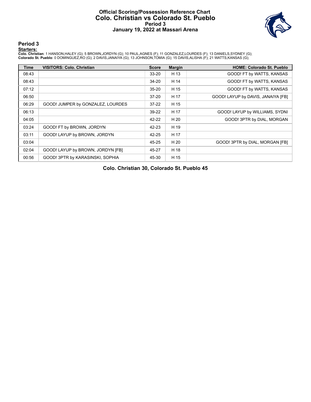#### **Official Scoring/Possession Reference Chart Colo. Christian vs Colorado St. Pueblo Period 3 January 19, 2022 at Massari Arena**



**Period 3**

<mark>Starters:</mark><br>Colo. Christian: 1 HANSON,HALEY (G); 5 BROWN,JORDYN (G); 10 PAUL,AGNES (F); 11 GONZALEZ,LOURDES (F); 13 DANIELS,SYDNEY (G);<br>Colorado St. Pueblo: 0 DOMINGUEZ,RO (G); 2 DAVIS,JANAIYA (G); 13 JOHNSON,TOMIA (G); 15

| <b>Time</b> | <b>VISITORS: Colo. Christian</b>  | <b>Score</b> | <b>Margin</b> | <b>HOME: Colorado St. Pueblo</b>   |
|-------------|-----------------------------------|--------------|---------------|------------------------------------|
| 08:43       |                                   | 33-20        | H 13          | GOOD! FT by WATTS, KANSAS          |
| 08:43       |                                   | 34-20        | H 14          | GOOD! FT by WATTS, KANSAS          |
| 07:12       |                                   | $35 - 20$    | H 15          | GOOD! FT by WATTS, KANSAS          |
| 06:50       |                                   | $37-20$      | H 17          | GOOD! LAYUP by DAVIS, JANAIYA [FB] |
| 06:29       | GOOD! JUMPER by GONZALEZ, LOURDES | $37-22$      | H 15          |                                    |
| 06:13       |                                   | 39-22        | H 17          | GOOD! LAYUP by WILLIAMS, SYDNI     |
| 04:05       |                                   | 42-22        | H 20          | GOOD! 3PTR by DIAL, MORGAN         |
| 03:24       | GOOD! FT by BROWN, JORDYN         | 42-23        | H 19          |                                    |
| 03:11       | GOOD! LAYUP by BROWN, JORDYN      | 42-25        | H 17          |                                    |
| 03:04       |                                   | 45-25        | H 20          | GOOD! 3PTR by DIAL, MORGAN [FB]    |
| 02:04       | GOOD! LAYUP by BROWN, JORDYN [FB] | 45-27        | H 18          |                                    |
| 00:56       | GOOD! 3PTR by KARASINSKI, SOPHIA  | 45-30        | H 15          |                                    |

**Colo. Christian 30, Colorado St. Pueblo 45**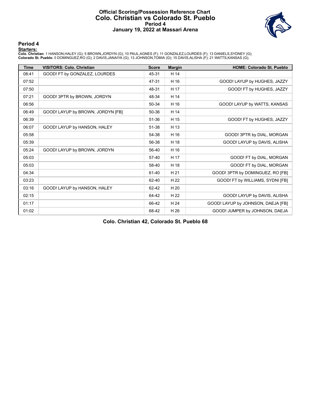#### **Official Scoring/Possession Reference Chart Colo. Christian vs Colorado St. Pueblo Period 4 January 19, 2022 at Massari Arena**



**Period 4**

#### **Starters:**

Colo. Christian: 1 HANSON,HALEY (G); 5 BROWN,JORDYN (G); 10 PAUL,AGNES (F); 11 GONZALEZ,LOURDES (F); 13 DANIELS,SYDNEY (G);<br>Colorado St. Pueblo: 0 DOMINGUEZ,RO (G); 2 DAVIS,JANAIYA (G); 13 JOHNSON,TOMIA (G); 15 DAVIS,ALISH

| <b>Time</b> | <b>VISITORS: Colo. Christian</b>  | <b>Score</b> | <b>Margin</b> | <b>HOME: Colorado St. Pueblo</b>   |
|-------------|-----------------------------------|--------------|---------------|------------------------------------|
| 08:41       | GOOD! FT by GONZALEZ, LOURDES     | 45-31        | H 14          |                                    |
| 07:52       |                                   | 47-31        | H 16          | GOOD! LAYUP by HUGHES, JAZZY       |
| 07:50       |                                   | 48-31        | H 17          | GOOD! FT by HUGHES, JAZZY          |
| 07:21       | GOOD! 3PTR by BROWN, JORDYN       | 48-34        | H 14          |                                    |
| 06:56       |                                   | 50-34        | H 16          | GOOD! LAYUP by WATTS, KANSAS       |
| 06:49       | GOOD! LAYUP by BROWN, JORDYN [FB] | 50-36        | H 14          |                                    |
| 06:39       |                                   | 51-36        | H 15          | GOOD! FT by HUGHES, JAZZY          |
| 06:07       | GOOD! LAYUP by HANSON, HALEY      | 51-38        | H 13          |                                    |
| 05:58       |                                   | 54-38        | H 16          | GOOD! 3PTR by DIAL, MORGAN         |
| 05:39       |                                   | 56-38        | H 18          | GOOD! LAYUP by DAVIS, ALISHA       |
| 05:24       | GOOD! LAYUP by BROWN, JORDYN      | 56-40        | H 16          |                                    |
| 05:03       |                                   | 57-40        | H 17          | GOOD! FT by DIAL, MORGAN           |
| 05:03       |                                   | 58-40        | H 18          | GOOD! FT by DIAL, MORGAN           |
| 04:34       |                                   | 61-40        | H 21          | GOOD! 3PTR by DOMINGUEZ, RO [FB]   |
| 03:23       |                                   | 62-40        | H 22          | GOOD! FT by WILLIAMS, SYDNI [FB]   |
| 03:16       | GOOD! LAYUP by HANSON, HALEY      | 62-42        | H 20          |                                    |
| 02:15       |                                   | 64-42        | H 22          | GOOD! LAYUP by DAVIS, ALISHA       |
| 01:17       |                                   | 66-42        | H 24          | GOOD! LAYUP by JOHNSON, DAEJA [FB] |
| 01:02       |                                   | 68-42        | H 26          | GOOD! JUMPER by JOHNSON, DAEJA     |

**Colo. Christian 42, Colorado St. Pueblo 68**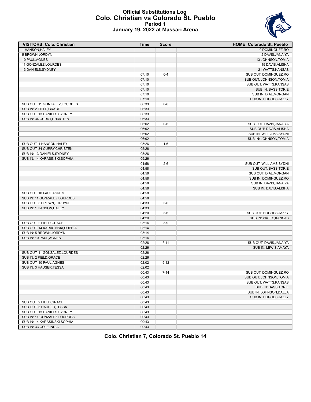#### **Official Substitutions Log Colo. Christian vs Colorado St. Pueblo Period 1 January 19, 2022 at Massari Arena**



| <b>VISITORS: Colo. Christian</b> | Time  | <b>Score</b> | <b>HOME: Colorado St. Pueblo</b> |
|----------------------------------|-------|--------------|----------------------------------|
| 1 HANSON, HALEY                  |       |              | 0 DOMINGUEZ, RO                  |
| 5 BROWN, JORDYN                  |       |              | 2 DAVIS, JANAIYA                 |
| 10 PAUL, AGNES                   |       |              | 13 JOHNSON, TOMIA                |
| 11 GONZALEZ, LOURDES             |       |              | 15 DAVIS, ALISHA                 |
| 13 DANIELS, SYDNEY               |       |              | 21 WATTS, KANSAS                 |
|                                  | 07:10 | $0 - 4$      | SUB OUT: DOMINGUEZ, RO           |
|                                  | 07:10 |              | SUB OUT: JOHNSON, TOMIA          |
|                                  | 07:10 |              | SUB OUT: WATTS, KANSAS           |
|                                  | 07:10 |              | SUB IN: BASS, TORIE              |
|                                  | 07:10 |              | SUB IN: DIAL, MORGAN             |
|                                  | 07:10 |              | SUB IN: HUGHES, JAZZY            |
| SUB OUT: 11 GONZALEZ, LOURDES    | 06:33 | $0-6$        |                                  |
| SUB IN: 2 FIELD, GRACE           | 06:33 |              |                                  |
| SUB OUT: 13 DANIELS, SYDNEY      | 06:33 |              |                                  |
| SUB IN: 34 CURRY, CHRISTEN       | 06:33 |              |                                  |
|                                  | 06:02 | $0-6$        | SUB OUT: DAVIS, JANAIYA          |
|                                  | 06:02 |              | SUB OUT: DAVIS, ALISHA           |
|                                  | 06:02 |              | SUB IN: WILLIAMS, SYDNI          |
|                                  | 06:02 |              | SUB IN: JOHNSON, TOMIA           |
| SUB OUT: 1 HANSON, HALEY         | 05:26 | $1 - 6$      |                                  |
| SUB OUT: 34 CURRY, CHRISTEN      | 05:26 |              |                                  |
| SUB IN: 13 DANIELS, SYDNEY       | 05:26 |              |                                  |
| SUB IN: 14 KARASINSKI, SOPHIA    | 05:26 |              |                                  |
|                                  | 04:58 | $2 - 6$      | SUB OUT: WILLIAMS, SYDNI         |
|                                  | 04:58 |              | SUB OUT: BASS, TORIE             |
|                                  | 04:58 |              | SUB OUT: DIAL, MORGAN            |
|                                  | 04:58 |              | SUB IN: DOMINGUEZ,RO             |
|                                  | 04:58 |              | SUB IN: DAVIS, JANAIYA           |
|                                  | 04:58 |              | SUB IN: DAVIS, ALISHA            |
| SUB OUT: 10 PAUL, AGNES          | 04:58 |              |                                  |
| SUB IN: 11 GONZALEZ, LOURDES     | 04:58 |              |                                  |
| SUB OUT: 5 BROWN, JORDYN         | 04:33 | $3-6$        |                                  |
|                                  |       |              |                                  |
| SUB IN: 1 HANSON, HALEY          | 04:33 |              |                                  |
|                                  | 04:20 | $3-6$        | SUB OUT: HUGHES, JAZZY           |
|                                  | 04:20 |              | SUB IN: WATTS, KANSAS            |
| SUB OUT: 2 FIELD, GRACE          | 03:14 | $3-9$        |                                  |
| SUB OUT: 14 KARASINSKI, SOPHIA   | 03:14 |              |                                  |
| SUB IN: 5 BROWN, JORDYN          | 03:14 |              |                                  |
| SUB IN: 10 PAUL, AGNES           | 03:14 |              |                                  |
|                                  | 02:26 | $3 - 11$     | SUB OUT: DAVIS, JANAIYA          |
|                                  | 02:26 |              | SUB IN: LEWIS, AMAYA             |
| SUB OUT: 11 GONZALEZ, LOURDES    | 02:26 |              |                                  |
| SUB IN: 2 FIELD, GRACE           | 02:26 |              |                                  |
| SUB OUT: 10 PAUL, AGNES          | 02:02 | $5 - 12$     |                                  |
| SUB IN: 3 HAUSER, TESSA          | 02:02 |              |                                  |
|                                  | 00:43 | $7 - 14$     | SUB OUT: DOMINGUEZ, RO           |
|                                  | 00:43 |              | SUB OUT: JOHNSON, TOMIA          |
|                                  | 00:43 |              | SUB OUT: WATTS, KANSAS           |
|                                  | 00:43 |              | SUB IN: BASS, TORIE              |
|                                  | 00:43 |              | SUB IN: JOHNSON, DAEJA           |
|                                  | 00:43 |              | SUB IN: HUGHES, JAZZY            |
| SUB OUT: 2 FIELD, GRACE          | 00:43 |              |                                  |
| SUB OUT: 3 HAUSER, TESSA         | 00:43 |              |                                  |
| SUB OUT: 13 DANIELS, SYDNEY      | 00:43 |              |                                  |
| SUB IN: 11 GONZALEZ, LOURDES     | 00:43 |              |                                  |
| SUB IN: 14 KARASINSKI, SOPHIA    | 00:43 |              |                                  |
| SUB IN: 33 COLE, INDIA           | 00:43 |              |                                  |

**Colo. Christian 7, Colorado St. Pueblo 14**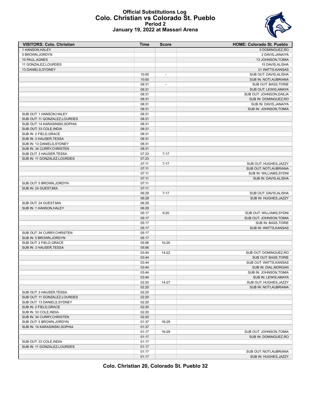#### **Official Substitutions Log Colo. Christian vs Colorado St. Pueblo Period 2 January 19, 2022 at Massari Arena**



| <b>VISITORS: Colo. Christian</b> | Time  | <b>Score</b>             | <b>HOME: Colorado St. Pueblo</b> |
|----------------------------------|-------|--------------------------|----------------------------------|
| 1 HANSON, HALEY                  |       |                          | 0 DOMINGUEZ, RO                  |
| 5 BROWN, JORDYN                  |       |                          | 2 DAVIS, JANAIYA                 |
| 10 PAUL, AGNES                   |       |                          | 13 JOHNSON, TOMIA                |
| 11 GONZALEZ, LOURDES             |       |                          | 15 DAVIS, ALISHA                 |
| 13 DANIELS, SYDNEY               |       |                          | 21 WATTS, KANSAS                 |
|                                  | 10:00 | $\overline{\phantom{a}}$ | SUB OUT: DAVIS, ALISHA           |
|                                  | 10:00 |                          | SUB IN: NOTI, AUBRIANA           |
|                                  | 08:31 | $\overline{\phantom{a}}$ | SUB OUT: BASS, TORIE             |
|                                  | 08:31 |                          | SUB OUT: LEWIS, AMAYA            |
|                                  | 08:31 |                          | SUB OUT: JOHNSON, DAEJA          |
|                                  | 08:31 |                          | SUB IN: DOMINGUEZ, RO            |
|                                  | 08:31 |                          | SUB IN: DAVIS, JANAIYA           |
|                                  | 08:31 |                          | SUB IN: JOHNSON, TOMIA           |
| SUB OUT: 1 HANSON, HALEY         | 08:31 |                          |                                  |
| SUB OUT: 11 GONZALEZ, LOURDES    | 08:31 |                          |                                  |
| SUB OUT: 14 KARASINSKI, SOPHIA   | 08:31 |                          |                                  |
| SUB OUT: 33 COLE, INDIA          | 08:31 |                          |                                  |
| SUB IN: 2 FIELD, GRACE           | 08:31 |                          |                                  |
| SUB IN: 3 HAUSER, TESSA          | 08:31 |                          |                                  |
| SUB IN: 13 DANIELS, SYDNEY       | 08:31 |                          |                                  |
| SUB IN: 34 CURRY, CHRISTEN       | 08:31 |                          |                                  |
| SUB OUT: 3 HAUSER, TESSA         | 07:23 | $7 - 17$                 |                                  |
| SUB IN: 11 GONZALEZ, LOURDES     | 07:23 |                          |                                  |
|                                  | 07:11 | $7 - 17$                 | SUB OUT: HUGHES, JAZZY           |
|                                  | 07:11 |                          | SUB OUT: NOTI, AUBRIANA          |
|                                  | 07:11 |                          | SUB IN: WILLIAMS, SYDNI          |
|                                  | 07:11 |                          | SUB IN: DAVIS, ALISHA            |
| SUB OUT: 5 BROWN, JORDYN         | 07:11 |                          |                                  |
| SUB IN: 24 GUEST, MIA            | 07:11 |                          |                                  |
|                                  | 06:29 | $7 - 17$                 | SUB OUT: DAVIS, ALISHA           |
|                                  | 06:29 |                          | SUB IN: HUGHES, JAZZY            |
| SUB OUT: 24 GUEST, MIA           | 06:29 |                          |                                  |
| SUB IN: 1 HANSON, HALEY          | 06:29 |                          |                                  |
|                                  | 05:17 | $9 - 20$                 | SUB OUT: WILLIAMS, SYDNI         |
|                                  | 05:17 |                          | SUB OUT: JOHNSON, TOMIA          |
|                                  | 05:17 |                          | SUB IN: BASS, TORIE              |
|                                  | 05:17 |                          | SUB IN: WATTS, KANSAS            |
| SUB OUT: 34 CURRY, CHRISTEN      | 05:17 |                          |                                  |
| SUB IN: 5 BROWN, JORDYN          | 05:17 |                          |                                  |
| SUB OUT: 2 FIELD, GRACE          | 05:06 | $10 - 20$                |                                  |
| SUB IN: 3 HAUSER, TESSA          | 05:06 |                          |                                  |
|                                  | 03:44 | 14-22                    | SUB OUT: DOMINGUEZ, RO           |
|                                  | 03:44 |                          | SUB OUT: BASS, TORIE             |
|                                  | 03:44 |                          | SUB OUT: WATTS, KANSAS           |
|                                  | 03:44 |                          | SUB IN: DIAL, MORGAN             |
|                                  | 03:44 |                          | SUB IN: JOHNSON, TOMIA           |
|                                  | 03:44 |                          | SUB IN: LEWIS, AMAYA             |
|                                  | 02:20 | 14-27                    | SUB OUT: HUGHES, JAZZY           |
|                                  | 02:20 |                          | SUB IN: NOTI, AUBRIANA           |
| SUB OUT: 3 HAUSER, TESSA         | 02:20 |                          |                                  |
| SUB OUT: 11 GONZALEZ, LOURDES    | 02:20 |                          |                                  |
| SUB OUT: 13 DANIELS, SYDNEY      | 02:20 |                          |                                  |
| SUB IN: 2 FIELD, GRACE           | 02:20 |                          |                                  |
| SUB IN: 33 COLE, INDIA           | 02:20 |                          |                                  |
| SUB IN: 34 CURRY, CHRISTEN       | 02:20 |                          |                                  |
| SUB OUT: 5 BROWN, JORDYN         | 01:37 | 16-29                    |                                  |
| SUB IN: 14 KARASINSKI, SOPHIA    | 01:37 |                          |                                  |
|                                  | 01:17 | 16-29                    | SUB OUT: JOHNSON, TOMIA          |
|                                  | 01:17 |                          | SUB IN: DOMINGUEZ, RO            |
| SUB OUT: 33 COLE, INDIA          | 01:17 |                          |                                  |
| SUB IN: 11 GONZALEZ, LOURDES     | 01:17 |                          |                                  |
|                                  | 01:17 |                          | SUB OUT: NOTI, AUBRIANA          |
|                                  | 01:17 |                          | SUB IN: HUGHES, JAZZY            |
|                                  |       |                          |                                  |

**Colo. Christian 20, Colorado St. Pueblo 32**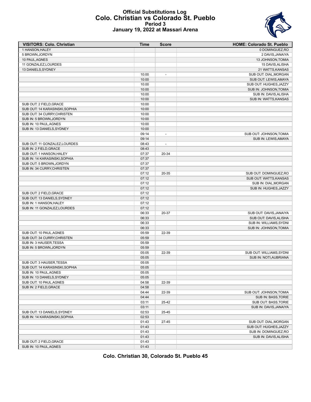#### **Official Substitutions Log Colo. Christian vs Colorado St. Pueblo Period 3 January 19, 2022 at Massari Arena**



| <b>VISITORS: Colo. Christian</b> | Time  | <b>Score</b>             | <b>HOME: Colorado St. Pueblo</b> |
|----------------------------------|-------|--------------------------|----------------------------------|
| 1 HANSON, HALEY                  |       |                          | 0 DOMINGUEZ, RO                  |
| 5 BROWN, JORDYN                  |       |                          | 2 DAVIS, JANAIYA                 |
| 10 PAUL, AGNES                   |       |                          | 13 JOHNSON, TOMIA                |
| 11 GONZALEZ, LOURDES             |       |                          | 15 DAVIS, ALISHA                 |
| 13 DANIELS, SYDNEY               |       |                          | 21 WATTS, KANSAS                 |
|                                  | 10:00 | $\overline{\phantom{a}}$ | SUB OUT: DIAL, MORGAN            |
|                                  | 10:00 |                          | SUB OUT: LEWIS, AMAYA            |
|                                  | 10:00 |                          | SUB OUT: HUGHES, JAZZY           |
|                                  | 10:00 |                          | SUB IN: JOHNSON, TOMIA           |
|                                  | 10:00 |                          | SUB IN: DAVIS, ALISHA            |
|                                  | 10:00 |                          | SUB IN: WATTS, KANSAS            |
| SUB OUT: 2 FIELD, GRACE          | 10:00 |                          |                                  |
| SUB OUT: 14 KARASINSKI, SOPHIA   | 10:00 |                          |                                  |
| SUB OUT: 34 CURRY, CHRISTEN      | 10:00 |                          |                                  |
| SUB IN: 5 BROWN, JORDYN          | 10:00 |                          |                                  |
|                                  |       |                          |                                  |
| SUB IN: 10 PAUL, AGNES           | 10:00 |                          |                                  |
| SUB IN: 13 DANIELS, SYDNEY       | 10:00 |                          |                                  |
|                                  | 09:14 | $\overline{\phantom{a}}$ | SUB OUT: JOHNSON, TOMIA          |
|                                  | 09:14 |                          | SUB IN: LEWIS, AMAYA             |
| SUB OUT: 11 GONZALEZ, LOURDES    | 08:43 | $\overline{\phantom{a}}$ |                                  |
| SUB IN: 2 FIELD.GRACE            | 08:43 |                          |                                  |
| SUB OUT: 1 HANSON, HALEY         | 07:37 | 20-34                    |                                  |
| SUB IN: 14 KARASINSKI, SOPHIA    | 07:37 |                          |                                  |
| SUB OUT: 5 BROWN, JORDYN         | 07:37 |                          |                                  |
| SUB IN: 34 CURRY, CHRISTEN       | 07:37 |                          |                                  |
|                                  | 07:12 | 20-35                    | SUB OUT: DOMINGUEZ, RO           |
|                                  | 07:12 |                          | SUB OUT: WATTS, KANSAS           |
|                                  | 07:12 |                          | SUB IN: DIAL, MORGAN             |
|                                  | 07:12 |                          | SUB IN: HUGHES, JAZZY            |
| SUB OUT: 2 FIELD, GRACE          | 07:12 |                          |                                  |
| SUB OUT: 13 DANIELS, SYDNEY      | 07:12 |                          |                                  |
| SUB IN: 1 HANSON, HALEY          | 07:12 |                          |                                  |
| SUB IN: 11 GONZALEZ, LOURDES     | 07:12 |                          |                                  |
|                                  | 06:33 | 20-37                    | SUB OUT: DAVIS, JANAIYA          |
|                                  | 06:33 |                          | SUB OUT: DAVIS, ALISHA           |
|                                  | 06:33 |                          | SUB IN: WILLIAMS, SYDNI          |
|                                  | 06:33 |                          | SUB IN: JOHNSON, TOMIA           |
| SUB OUT: 10 PAUL, AGNES          | 05:59 | 22-39                    |                                  |
| SUB OUT: 34 CURRY, CHRISTEN      | 05:59 |                          |                                  |
| SUB IN: 3 HAUSER, TESSA          | 05:59 |                          |                                  |
| SUB IN: 5 BROWN, JORDYN          | 05:59 |                          |                                  |
|                                  | 05:05 | 22-39                    | SUB OUT: WILLIAMS, SYDNI         |
|                                  | 05:05 |                          | SUB IN: NOTI, AUBRIANA           |
| SUB OUT: 3 HAUSER, TESSA         | 05:05 |                          |                                  |
| SUB OUT: 14 KARASINSKI, SOPHIA   | 05:05 |                          |                                  |
| SUB IN: 10 PAUL, AGNES           | 05:05 |                          |                                  |
| SUB IN: 13 DANIELS, SYDNEY       | 05:05 |                          |                                  |
| SUB OUT: 10 PAUL, AGNES          |       |                          |                                  |
|                                  | 04:58 | 22-39                    |                                  |
| SUB IN: 2 FIELD, GRACE           | 04:58 |                          |                                  |
|                                  | 04:44 | 22-39                    | SUB OUT: JOHNSON, TOMIA          |
|                                  | 04:44 |                          | SUB IN: BASS, TORIE              |
|                                  | 03:11 | 25-42                    | SUB OUT: BASS, TORIE             |
|                                  | 03:11 |                          | SUB IN: DAVIS, JANAIYA           |
| SUB OUT: 13 DANIELS, SYDNEY      | 02:53 | 25-45                    |                                  |
| SUB IN: 14 KARASINSKI, SOPHIA    | 02:53 |                          |                                  |
|                                  | 01:43 | $27 - 45$                | SUB OUT: DIAL, MORGAN            |
|                                  | 01:43 |                          | SUB OUT: HUGHES, JAZZY           |
|                                  | 01:43 |                          | SUB IN: DOMINGUEZ, RO            |
|                                  | 01:43 |                          | SUB IN: DAVIS, ALISHA            |
| SUB OUT: 2 FIELD, GRACE          | 01:43 |                          |                                  |
| SUB IN: 10 PAUL, AGNES           | 01:43 |                          |                                  |

**Colo. Christian 30, Colorado St. Pueblo 45**